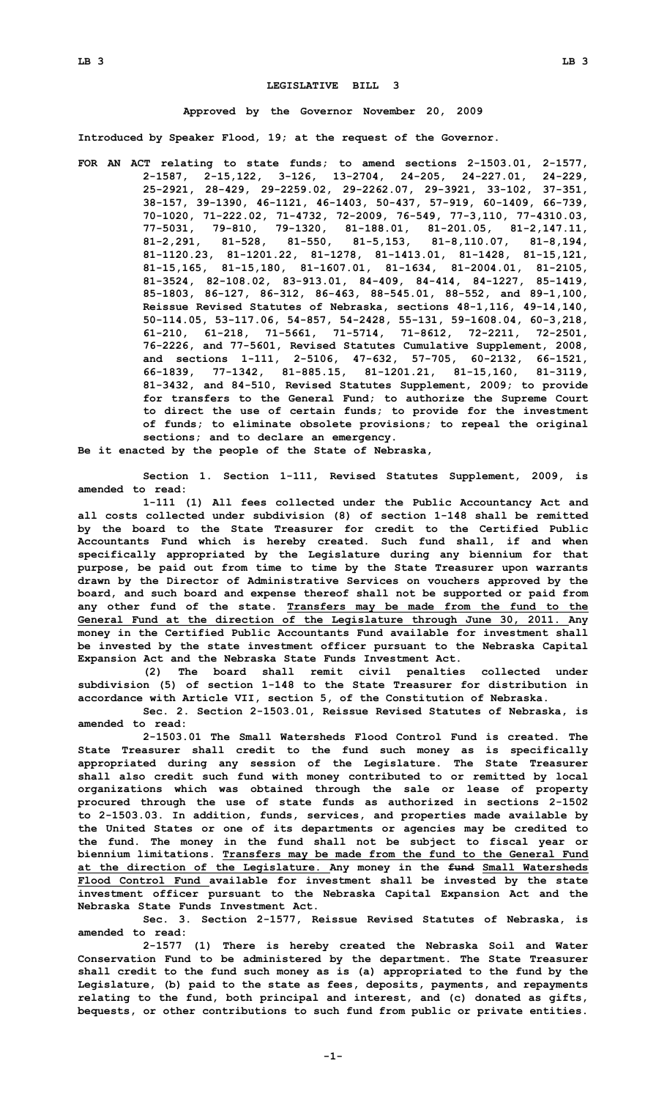## **LEGISLATIVE BILL 3**

## **Approved by the Governor November 20, 2009**

**Introduced by Speaker Flood, 19; at the request of the Governor.**

**FOR AN ACT relating to state funds; to amend sections 2-1503.01, 2-1577, 2-1587, 2-15,122, 3-126, 13-2704, 24-205, 24-227.01, 24-229, 25-2921, 28-429, 29-2259.02, 29-2262.07, 29-3921, 33-102, 37-351, 38-157, 39-1390, 46-1121, 46-1403, 50-437, 57-919, 60-1409, 66-739, 70-1020, 71-222.02, 71-4732, 72-2009, 76-549, 77-3,110, 77-4310.03, 77-5031, 79-810, 79-1320, 81-188.01, 81-201.05, 81-2,147.11, 81-2,291, 81-528, 81-550, 81-5,153, 81-8,110.07, 81-8,194, 81-1120.23, 81-1201.22, 81-1278, 81-1413.01, 81-1428, 81-15,121, 81-15,165, 81-15,180, 81-1607.01, 81-1634, 81-2004.01, 81-2105, 81-3524, 82-108.02, 83-913.01, 84-409, 84-414, 84-1227, 85-1419, 85-1803, 86-127, 86-312, 86-463, 88-545.01, 88-552, and 89-1,100, Reissue Revised Statutes of Nebraska, sections 48-1,116, 49-14,140, 50-114.05, 53-117.06, 54-857, 54-2428, 55-131, 59-1608.04, 60-3,218, 61-210, 61-218, 71-5661, 71-5714, 71-8612, 72-2211, 72-2501, 76-2226, and 77-5601, Revised Statutes Cumulative Supplement, 2008, and sections 1-111, 2-5106, 47-632, 57-705, 60-2132, 66-1521, 66-1839, 77-1342, 81-885.15, 81-1201.21, 81-15,160, 81-3119, 81-3432, and 84-510, Revised Statutes Supplement, 2009; to provide for transfers to the General Fund; to authorize the Supreme Court to direct the use of certain funds; to provide for the investment of funds; to eliminate obsolete provisions; to repeal the original sections; and to declare an emergency.**

**Be it enacted by the people of the State of Nebraska,**

**Section 1. Section 1-111, Revised Statutes Supplement, 2009, is amended to read:**

**1-111 (1) All fees collected under the Public Accountancy Act and all costs collected under subdivision (8) of section 1-148 shall be remitted by the board to the State Treasurer for credit to the Certified Public Accountants Fund which is hereby created. Such fund shall, if and when specifically appropriated by the Legislature during any biennium for that purpose, be paid out from time to time by the State Treasurer upon warrants drawn by the Director of Administrative Services on vouchers approved by the board, and such board and expense thereof shall not be supported or paid from any other fund of the state. Transfers may be made from the fund to the General Fund at the direction of the Legislature through June 30, 2011. Any money in the Certified Public Accountants Fund available for investment shall be invested by the state investment officer pursuant to the Nebraska Capital Expansion Act and the Nebraska State Funds Investment Act.**

**(2) The board shall remit civil penalties collected under subdivision (5) of section 1-148 to the State Treasurer for distribution in accordance with Article VII, section 5, of the Constitution of Nebraska.**

**Sec. 2. Section 2-1503.01, Reissue Revised Statutes of Nebraska, is amended to read:**

**2-1503.01 The Small Watersheds Flood Control Fund is created. The State Treasurer shall credit to the fund such money as is specifically appropriated during any session of the Legislature. The State Treasurer shall also credit such fund with money contributed to or remitted by local organizations which was obtained through the sale or lease of property procured through the use of state funds as authorized in sections 2-1502 to 2-1503.03. In addition, funds, services, and properties made available by the United States or one of its departments or agencies may be credited to the fund. The money in the fund shall not be subject to fiscal year or biennium limitations. Transfers may be made from the fund to the General Fund at the direction of the Legislature. Any money in the fund Small Watersheds Flood Control Fund available for investment shall be invested by the state investment officer pursuant to the Nebraska Capital Expansion Act and the Nebraska State Funds Investment Act.**

**Sec. 3. Section 2-1577, Reissue Revised Statutes of Nebraska, is amended to read:**

**2-1577 (1) There is hereby created the Nebraska Soil and Water Conservation Fund to be administered by the department. The State Treasurer shall credit to the fund such money as is (a) appropriated to the fund by the Legislature, (b) paid to the state as fees, deposits, payments, and repayments relating to the fund, both principal and interest, and (c) donated as gifts, bequests, or other contributions to such fund from public or private entities.**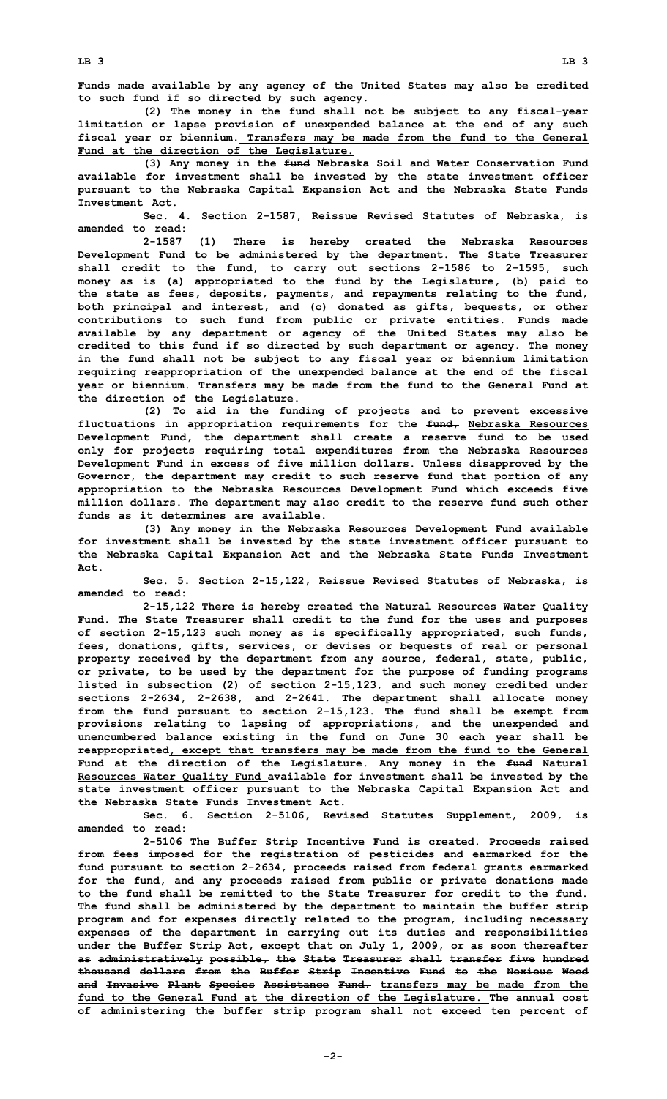**Funds made available by any agency of the United States may also be credited to such fund if so directed by such agency.**

**(2) The money in the fund shall not be subject to any fiscal-year limitation or lapse provision of unexpended balance at the end of any such fiscal year or biennium. Transfers may be made from the fund to the General Fund at the direction of the Legislature.**

**(3) Any money in the fund Nebraska Soil and Water Conservation Fund available for investment shall be invested by the state investment officer pursuant to the Nebraska Capital Expansion Act and the Nebraska State Funds Investment Act.**

**Sec. 4. Section 2-1587, Reissue Revised Statutes of Nebraska, is amended to read:**

**2-1587 (1) There is hereby created the Nebraska Resources Development Fund to be administered by the department. The State Treasurer shall credit to the fund, to carry out sections 2-1586 to 2-1595, such money as is (a) appropriated to the fund by the Legislature, (b) paid to the state as fees, deposits, payments, and repayments relating to the fund, both principal and interest, and (c) donated as gifts, bequests, or other contributions to such fund from public or private entities. Funds made available by any department or agency of the United States may also be credited to this fund if so directed by such department or agency. The money in the fund shall not be subject to any fiscal year or biennium limitation requiring reappropriation of the unexpended balance at the end of the fiscal year or biennium. Transfers may be made from the fund to the General Fund at the direction of the Legislature.**

**(2) To aid in the funding of projects and to prevent excessive fluctuations in appropriation requirements for the fund, Nebraska Resources Development Fund, the department shall create <sup>a</sup> reserve fund to be used only for projects requiring total expenditures from the Nebraska Resources Development Fund in excess of five million dollars. Unless disapproved by the Governor, the department may credit to such reserve fund that portion of any appropriation to the Nebraska Resources Development Fund which exceeds five million dollars. The department may also credit to the reserve fund such other funds as it determines are available.**

**(3) Any money in the Nebraska Resources Development Fund available for investment shall be invested by the state investment officer pursuant to the Nebraska Capital Expansion Act and the Nebraska State Funds Investment Act.**

**Sec. 5. Section 2-15,122, Reissue Revised Statutes of Nebraska, is amended to read:**

**2-15,122 There is hereby created the Natural Resources Water Quality Fund. The State Treasurer shall credit to the fund for the uses and purposes of section 2-15,123 such money as is specifically appropriated, such funds, fees, donations, gifts, services, or devises or bequests of real or personal property received by the department from any source, federal, state, public, or private, to be used by the department for the purpose of funding programs listed in subsection (2) of section 2-15,123, and such money credited under sections 2-2634, 2-2638, and 2-2641. The department shall allocate money from the fund pursuant to section 2-15,123. The fund shall be exempt from provisions relating to lapsing of appropriations, and the unexpended and unencumbered balance existing in the fund on June 30 each year shall be reappropriated, except that transfers may be made from the fund to the General Fund at the direction of the Legislature. Any money in the fund Natural Resources Water Quality Fund available for investment shall be invested by the state investment officer pursuant to the Nebraska Capital Expansion Act and the Nebraska State Funds Investment Act.**

**Sec. 6. Section 2-5106, Revised Statutes Supplement, 2009, is amended to read:**

**2-5106 The Buffer Strip Incentive Fund is created. Proceeds raised from fees imposed for the registration of pesticides and earmarked for the fund pursuant to section 2-2634, proceeds raised from federal grants earmarked for the fund, and any proceeds raised from public or private donations made to the fund shall be remitted to the State Treasurer for credit to the fund. The fund shall be administered by the department to maintain the buffer strip program and for expenses directly related to the program, including necessary expenses of the department in carrying out its duties and responsibilities under the Buffer Strip Act, except that on July 1, 2009, or as soon thereafter as administratively possible, the State Treasurer shall transfer five hundred thousand dollars from the Buffer Strip Incentive Fund to the Noxious Weed and Invasive Plant Species Assistance Fund. transfers may be made from the fund to the General Fund at the direction of the Legislature. The annual cost of administering the buffer strip program shall not exceed ten percent of**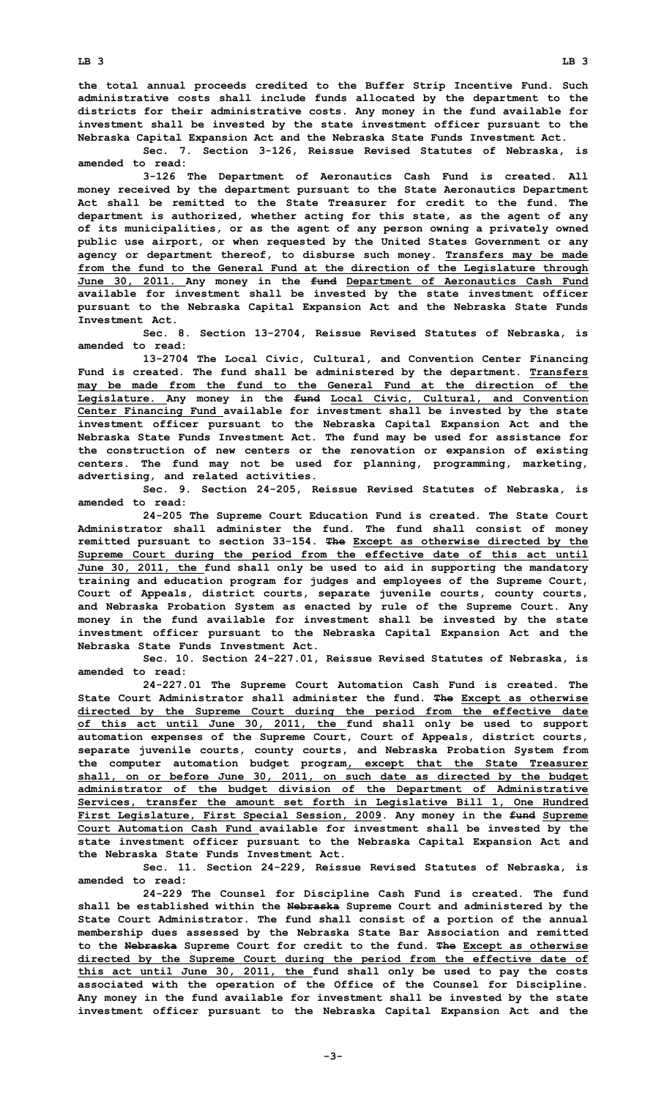**the total annual proceeds credited to the Buffer Strip Incentive Fund. Such administrative costs shall include funds allocated by the department to the districts for their administrative costs. Any money in the fund available for investment shall be invested by the state investment officer pursuant to the Nebraska Capital Expansion Act and the Nebraska State Funds Investment Act.**

**Sec. 7. Section 3-126, Reissue Revised Statutes of Nebraska, is amended to read:**

**3-126 The Department of Aeronautics Cash Fund is created. All money received by the department pursuant to the State Aeronautics Department Act shall be remitted to the State Treasurer for credit to the fund. The department is authorized, whether acting for this state, as the agent of any of its municipalities, or as the agent of any person owning <sup>a</sup> privately owned public use airport, or when requested by the United States Government or any agency or department thereof, to disburse such money. Transfers may be made from the fund to the General Fund at the direction of the Legislature through June 30, 2011. Any money in the fund Department of Aeronautics Cash Fund available for investment shall be invested by the state investment officer pursuant to the Nebraska Capital Expansion Act and the Nebraska State Funds Investment Act.**

**Sec. 8. Section 13-2704, Reissue Revised Statutes of Nebraska, is amended to read:**

**13-2704 The Local Civic, Cultural, and Convention Center Financing Fund is created. The fund shall be administered by the department. Transfers may be made from the fund to the General Fund at the direction of the Legislature. Any money in the fund Local Civic, Cultural, and Convention Center Financing Fund available for investment shall be invested by the state investment officer pursuant to the Nebraska Capital Expansion Act and the Nebraska State Funds Investment Act. The fund may be used for assistance for the construction of new centers or the renovation or expansion of existing centers. The fund may not be used for planning, programming, marketing, advertising, and related activities.**

**Sec. 9. Section 24-205, Reissue Revised Statutes of Nebraska, is amended to read:**

**24-205 The Supreme Court Education Fund is created. The State Court Administrator shall administer the fund. The fund shall consist of money remitted pursuant to section 33-154. The Except as otherwise directed by the Supreme Court during the period from the effective date of this act until June 30, 2011, the fund shall only be used to aid in supporting the mandatory training and education program for judges and employees of the Supreme Court, Court of Appeals, district courts, separate juvenile courts, county courts, and Nebraska Probation System as enacted by rule of the Supreme Court. Any money in the fund available for investment shall be invested by the state investment officer pursuant to the Nebraska Capital Expansion Act and the Nebraska State Funds Investment Act.**

**Sec. 10. Section 24-227.01, Reissue Revised Statutes of Nebraska, is amended to read:**

**24-227.01 The Supreme Court Automation Cash Fund is created. The State Court Administrator shall administer the fund. The Except as otherwise directed by the Supreme Court during the period from the effective date of this act until June 30, 2011, the fund shall only be used to support automation expenses of the Supreme Court, Court of Appeals, district courts, separate juvenile courts, county courts, and Nebraska Probation System from the computer automation budget program, except that the State Treasurer shall, on or before June 30, 2011, on such date as directed by the budget administrator of the budget division of the Department of Administrative Services, transfer the amount set forth in Legislative Bill 1, One Hundred First Legislature, First Special Session, 2009. Any money in the fund Supreme Court Automation Cash Fund available for investment shall be invested by the state investment officer pursuant to the Nebraska Capital Expansion Act and the Nebraska State Funds Investment Act.**

**Sec. 11. Section 24-229, Reissue Revised Statutes of Nebraska, is amended to read:**

**24-229 The Counsel for Discipline Cash Fund is created. The fund shall be established within the Nebraska Supreme Court and administered by the State Court Administrator. The fund shall consist of <sup>a</sup> portion of the annual membership dues assessed by the Nebraska State Bar Association and remitted to the Nebraska Supreme Court for credit to the fund. The Except as otherwise directed by the Supreme Court during the period from the effective date of this act until June 30, 2011, the fund shall only be used to pay the costs associated with the operation of the Office of the Counsel for Discipline. Any money in the fund available for investment shall be invested by the state investment officer pursuant to the Nebraska Capital Expansion Act and the**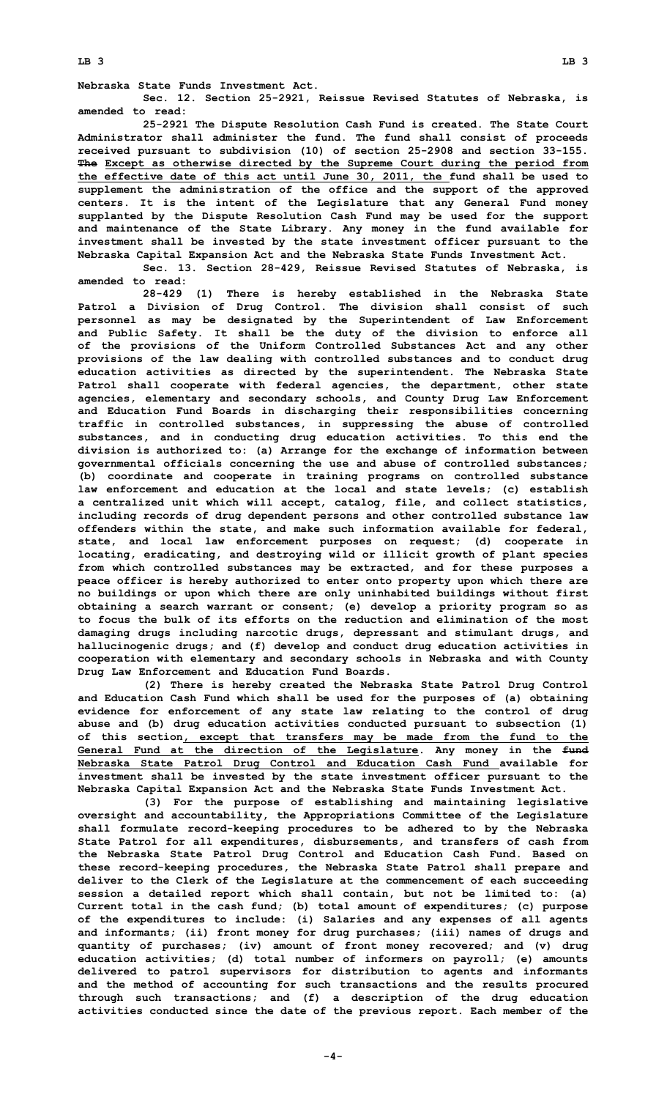**Nebraska State Funds Investment Act.**

**Sec. 12. Section 25-2921, Reissue Revised Statutes of Nebraska, is amended to read:**

**25-2921 The Dispute Resolution Cash Fund is created. The State Court Administrator shall administer the fund. The fund shall consist of proceeds received pursuant to subdivision (10) of section 25-2908 and section 33-155. The Except as otherwise directed by the Supreme Court during the period from the effective date of this act until June 30, 2011, the fund shall be used to supplement the administration of the office and the support of the approved centers. It is the intent of the Legislature that any General Fund money supplanted by the Dispute Resolution Cash Fund may be used for the support and maintenance of the State Library. Any money in the fund available for investment shall be invested by the state investment officer pursuant to the Nebraska Capital Expansion Act and the Nebraska State Funds Investment Act.**

**Sec. 13. Section 28-429, Reissue Revised Statutes of Nebraska, is amended to read:**

**28-429 (1) There is hereby established in the Nebraska State Patrol <sup>a</sup> Division of Drug Control. The division shall consist of such personnel as may be designated by the Superintendent of Law Enforcement and Public Safety. It shall be the duty of the division to enforce all of the provisions of the Uniform Controlled Substances Act and any other provisions of the law dealing with controlled substances and to conduct drug education activities as directed by the superintendent. The Nebraska State Patrol shall cooperate with federal agencies, the department, other state agencies, elementary and secondary schools, and County Drug Law Enforcement and Education Fund Boards in discharging their responsibilities concerning traffic in controlled substances, in suppressing the abuse of controlled substances, and in conducting drug education activities. To this end the division is authorized to: (a) Arrange for the exchange of information between governmental officials concerning the use and abuse of controlled substances; (b) coordinate and cooperate in training programs on controlled substance law enforcement and education at the local and state levels; (c) establish <sup>a</sup> centralized unit which will accept, catalog, file, and collect statistics, including records of drug dependent persons and other controlled substance law offenders within the state, and make such information available for federal, state, and local law enforcement purposes on request; (d) cooperate in locating, eradicating, and destroying wild or illicit growth of plant species from which controlled substances may be extracted, and for these purposes <sup>a</sup> peace officer is hereby authorized to enter onto property upon which there are no buildings or upon which there are only uninhabited buildings without first obtaining <sup>a</sup> search warrant or consent; (e) develop <sup>a</sup> priority program so as to focus the bulk of its efforts on the reduction and elimination of the most damaging drugs including narcotic drugs, depressant and stimulant drugs, and hallucinogenic drugs; and (f) develop and conduct drug education activities in cooperation with elementary and secondary schools in Nebraska and with County Drug Law Enforcement and Education Fund Boards.**

**(2) There is hereby created the Nebraska State Patrol Drug Control and Education Cash Fund which shall be used for the purposes of (a) obtaining evidence for enforcement of any state law relating to the control of drug abuse and (b) drug education activities conducted pursuant to subsection (1) of this section, except that transfers may be made from the fund to the General Fund at the direction of the Legislature. Any money in the fund Nebraska State Patrol Drug Control and Education Cash Fund available for investment shall be invested by the state investment officer pursuant to the Nebraska Capital Expansion Act and the Nebraska State Funds Investment Act.**

**(3) For the purpose of establishing and maintaining legislative oversight and accountability, the Appropriations Committee of the Legislature shall formulate record-keeping procedures to be adhered to by the Nebraska State Patrol for all expenditures, disbursements, and transfers of cash from the Nebraska State Patrol Drug Control and Education Cash Fund. Based on these record-keeping procedures, the Nebraska State Patrol shall prepare and deliver to the Clerk of the Legislature at the commencement of each succeeding session <sup>a</sup> detailed report which shall contain, but not be limited to: (a) Current total in the cash fund; (b) total amount of expenditures; (c) purpose of the expenditures to include: (i) Salaries and any expenses of all agents and informants; (ii) front money for drug purchases; (iii) names of drugs and quantity of purchases; (iv) amount of front money recovered; and (v) drug education activities; (d) total number of informers on payroll; (e) amounts delivered to patrol supervisors for distribution to agents and informants and the method of accounting for such transactions and the results procured through such transactions; and (f) <sup>a</sup> description of the drug education activities conducted since the date of the previous report. Each member of the**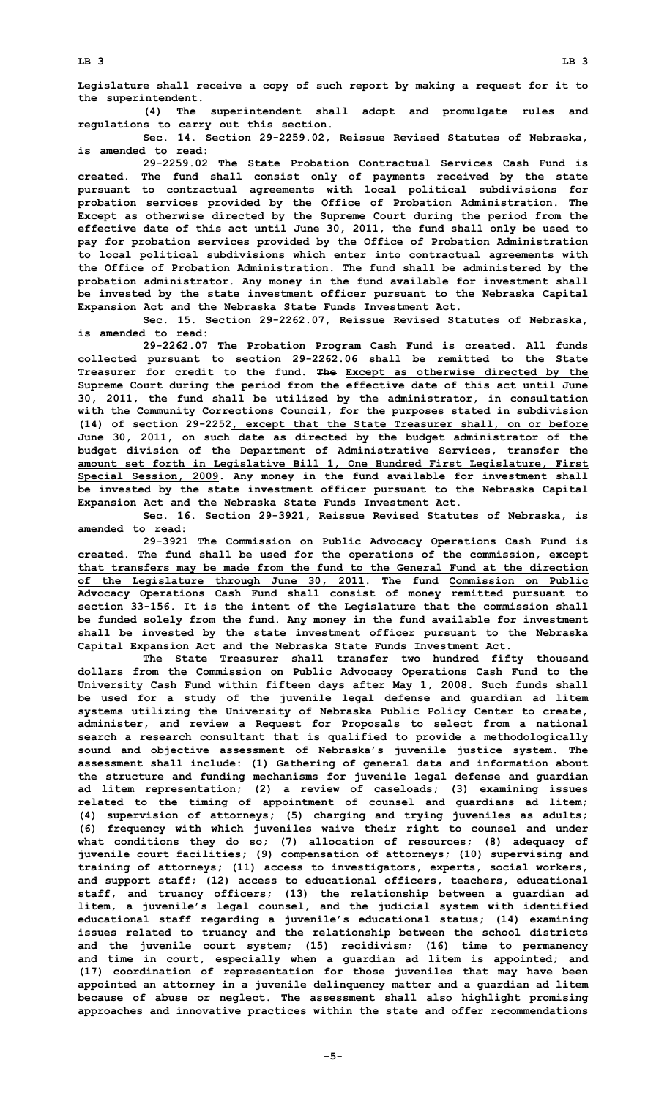**Legislature shall receive <sup>a</sup> copy of such report by making <sup>a</sup> request for it to the superintendent.**

**(4) The superintendent shall adopt and promulgate rules and regulations to carry out this section.**

**Sec. 14. Section 29-2259.02, Reissue Revised Statutes of Nebraska, is amended to read:**

**29-2259.02 The State Probation Contractual Services Cash Fund is created. The fund shall consist only of payments received by the state pursuant to contractual agreements with local political subdivisions for probation services provided by the Office of Probation Administration. The Except as otherwise directed by the Supreme Court during the period from the effective date of this act until June 30, 2011, the fund shall only be used to pay for probation services provided by the Office of Probation Administration to local political subdivisions which enter into contractual agreements with the Office of Probation Administration. The fund shall be administered by the probation administrator. Any money in the fund available for investment shall be invested by the state investment officer pursuant to the Nebraska Capital Expansion Act and the Nebraska State Funds Investment Act.**

**Sec. 15. Section 29-2262.07, Reissue Revised Statutes of Nebraska, is amended to read:**

**29-2262.07 The Probation Program Cash Fund is created. All funds collected pursuant to section 29-2262.06 shall be remitted to the State Treasurer for credit to the fund. The Except as otherwise directed by the Supreme Court during the period from the effective date of this act until June 30, 2011, the fund shall be utilized by the administrator, in consultation with the Community Corrections Council, for the purposes stated in subdivision (14) of section 29-2252, except that the State Treasurer shall, on or before June 30, 2011, on such date as directed by the budget administrator of the budget division of the Department of Administrative Services, transfer the amount set forth in Legislative Bill 1, One Hundred First Legislature, First Special Session, 2009. Any money in the fund available for investment shall be invested by the state investment officer pursuant to the Nebraska Capital Expansion Act and the Nebraska State Funds Investment Act.**

**Sec. 16. Section 29-3921, Reissue Revised Statutes of Nebraska, is amended to read:**

**29-3921 The Commission on Public Advocacy Operations Cash Fund is created. The fund shall be used for the operations of the commission, except that transfers may be made from the fund to the General Fund at the direction of the Legislature through June 30, 2011. The fund Commission on Public Advocacy Operations Cash Fund shall consist of money remitted pursuant to section 33-156. It is the intent of the Legislature that the commission shall be funded solely from the fund. Any money in the fund available for investment shall be invested by the state investment officer pursuant to the Nebraska Capital Expansion Act and the Nebraska State Funds Investment Act.**

**The State Treasurer shall transfer two hundred fifty thousand dollars from the Commission on Public Advocacy Operations Cash Fund to the University Cash Fund within fifteen days after May 1, 2008. Such funds shall be used for <sup>a</sup> study of the juvenile legal defense and guardian ad litem systems utilizing the University of Nebraska Public Policy Center to create, administer, and review <sup>a</sup> Request for Proposals to select from <sup>a</sup> national search <sup>a</sup> research consultant that is qualified to provide <sup>a</sup> methodologically sound and objective assessment of Nebraska's juvenile justice system. The assessment shall include: (1) Gathering of general data and information about the structure and funding mechanisms for juvenile legal defense and guardian ad litem representation; (2) <sup>a</sup> review of caseloads; (3) examining issues related to the timing of appointment of counsel and guardians ad litem; (4) supervision of attorneys; (5) charging and trying juveniles as adults; (6) frequency with which juveniles waive their right to counsel and under what conditions they do so; (7) allocation of resources; (8) adequacy of juvenile court facilities; (9) compensation of attorneys; (10) supervising and training of attorneys; (11) access to investigators, experts, social workers, and support staff; (12) access to educational officers, teachers, educational staff, and truancy officers; (13) the relationship between <sup>a</sup> guardian ad litem, <sup>a</sup> juvenile's legal counsel, and the judicial system with identified educational staff regarding <sup>a</sup> juvenile's educational status; (14) examining issues related to truancy and the relationship between the school districts and the juvenile court system; (15) recidivism; (16) time to permanency and time in court, especially when <sup>a</sup> guardian ad litem is appointed; and (17) coordination of representation for those juveniles that may have been appointed an attorney in <sup>a</sup> juvenile delinquency matter and <sup>a</sup> guardian ad litem because of abuse or neglect. The assessment shall also highlight promising approaches and innovative practices within the state and offer recommendations**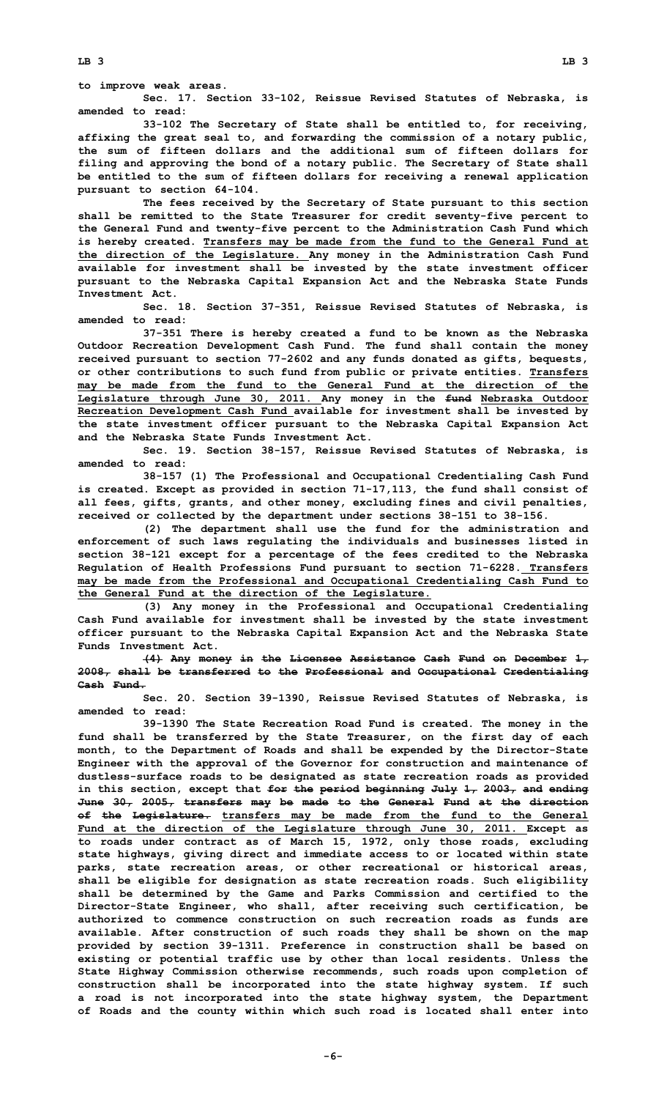**LB 3 LB 3**

**to improve weak areas.**

**Sec. 17. Section 33-102, Reissue Revised Statutes of Nebraska, is amended to read:**

**33-102 The Secretary of State shall be entitled to, for receiving, affixing the great seal to, and forwarding the commission of <sup>a</sup> notary public, the sum of fifteen dollars and the additional sum of fifteen dollars for filing and approving the bond of <sup>a</sup> notary public. The Secretary of State shall be entitled to the sum of fifteen dollars for receiving <sup>a</sup> renewal application pursuant to section 64-104.**

**The fees received by the Secretary of State pursuant to this section shall be remitted to the State Treasurer for credit seventy-five percent to the General Fund and twenty-five percent to the Administration Cash Fund which is hereby created. Transfers may be made from the fund to the General Fund at the direction of the Legislature. Any money in the Administration Cash Fund available for investment shall be invested by the state investment officer pursuant to the Nebraska Capital Expansion Act and the Nebraska State Funds Investment Act.**

**Sec. 18. Section 37-351, Reissue Revised Statutes of Nebraska, is amended to read:**

**37-351 There is hereby created <sup>a</sup> fund to be known as the Nebraska Outdoor Recreation Development Cash Fund. The fund shall contain the money received pursuant to section 77-2602 and any funds donated as gifts, bequests, or other contributions to such fund from public or private entities. Transfers may be made from the fund to the General Fund at the direction of the Legislature through June 30, 2011. Any money in the fund Nebraska Outdoor Recreation Development Cash Fund available for investment shall be invested by the state investment officer pursuant to the Nebraska Capital Expansion Act and the Nebraska State Funds Investment Act.**

**Sec. 19. Section 38-157, Reissue Revised Statutes of Nebraska, is amended to read:**

**38-157 (1) The Professional and Occupational Credentialing Cash Fund is created. Except as provided in section 71-17,113, the fund shall consist of all fees, gifts, grants, and other money, excluding fines and civil penalties, received or collected by the department under sections 38-151 to 38-156.**

**(2) The department shall use the fund for the administration and enforcement of such laws regulating the individuals and businesses listed in section 38-121 except for <sup>a</sup> percentage of the fees credited to the Nebraska Regulation of Health Professions Fund pursuant to section 71-6228. Transfers may be made from the Professional and Occupational Credentialing Cash Fund to the General Fund at the direction of the Legislature.**

**(3) Any money in the Professional and Occupational Credentialing Cash Fund available for investment shall be invested by the state investment officer pursuant to the Nebraska Capital Expansion Act and the Nebraska State Funds Investment Act.**

**(4) Any money in the Licensee Assistance Cash Fund on December 1, 2008, shall be transferred to the Professional and Occupational Credentialing Cash Fund.**

**Sec. 20. Section 39-1390, Reissue Revised Statutes of Nebraska, is amended to read:**

**39-1390 The State Recreation Road Fund is created. The money in the fund shall be transferred by the State Treasurer, on the first day of each month, to the Department of Roads and shall be expended by the Director-State Engineer with the approval of the Governor for construction and maintenance of dustless-surface roads to be designated as state recreation roads as provided in this section, except that for the period beginning July 1, 2003, and ending June 30, 2005, transfers may be made to the General Fund at the direction of the Legislature. transfers may be made from the fund to the General Fund at the direction of the Legislature through June 30, 2011. Except as to roads under contract as of March 15, 1972, only those roads, excluding state highways, giving direct and immediate access to or located within state parks, state recreation areas, or other recreational or historical areas, shall be eligible for designation as state recreation roads. Such eligibility shall be determined by the Game and Parks Commission and certified to the Director-State Engineer, who shall, after receiving such certification, be authorized to commence construction on such recreation roads as funds are available. After construction of such roads they shall be shown on the map provided by section 39-1311. Preference in construction shall be based on existing or potential traffic use by other than local residents. Unless the State Highway Commission otherwise recommends, such roads upon completion of construction shall be incorporated into the state highway system. If such <sup>a</sup> road is not incorporated into the state highway system, the Department of Roads and the county within which such road is located shall enter into**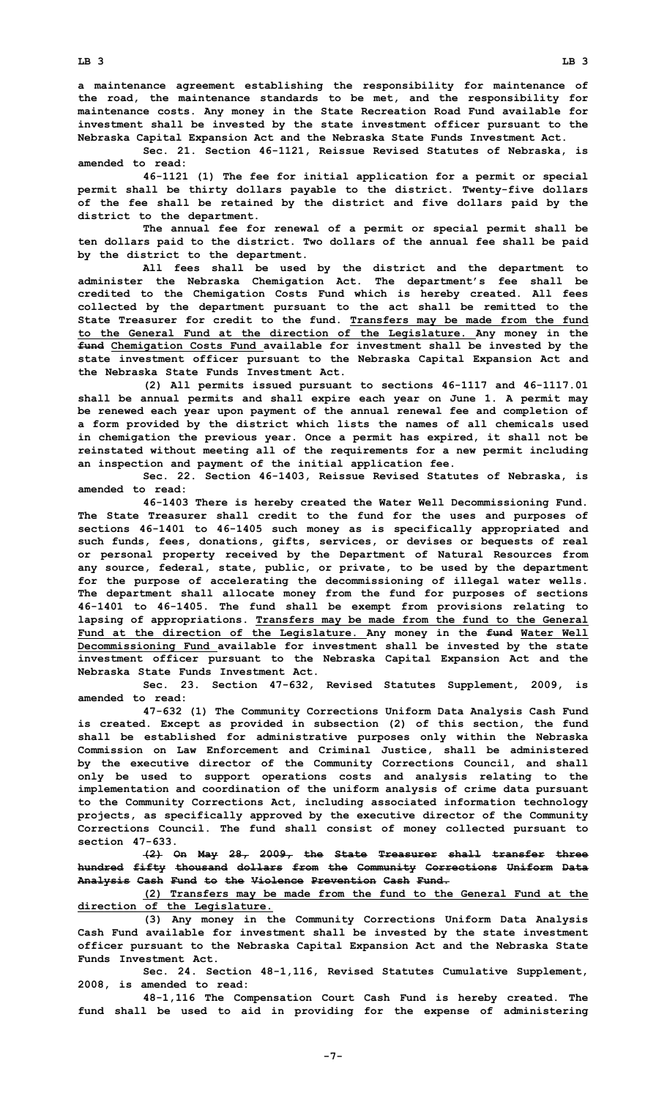**<sup>a</sup> maintenance agreement establishing the responsibility for maintenance of the road, the maintenance standards to be met, and the responsibility for maintenance costs. Any money in the State Recreation Road Fund available for investment shall be invested by the state investment officer pursuant to the Nebraska Capital Expansion Act and the Nebraska State Funds Investment Act.**

**Sec. 21. Section 46-1121, Reissue Revised Statutes of Nebraska, is amended to read:**

**46-1121 (1) The fee for initial application for <sup>a</sup> permit or special permit shall be thirty dollars payable to the district. Twenty-five dollars of the fee shall be retained by the district and five dollars paid by the district to the department.**

**The annual fee for renewal of <sup>a</sup> permit or special permit shall be ten dollars paid to the district. Two dollars of the annual fee shall be paid by the district to the department.**

**All fees shall be used by the district and the department to administer the Nebraska Chemigation Act. The department's fee shall be credited to the Chemigation Costs Fund which is hereby created. All fees collected by the department pursuant to the act shall be remitted to the State Treasurer for credit to the fund. Transfers may be made from the fund to the General Fund at the direction of the Legislature. Any money in the fund Chemigation Costs Fund available for investment shall be invested by the state investment officer pursuant to the Nebraska Capital Expansion Act and the Nebraska State Funds Investment Act.**

**(2) All permits issued pursuant to sections 46-1117 and 46-1117.01 shall be annual permits and shall expire each year on June 1. <sup>A</sup> permit may be renewed each year upon payment of the annual renewal fee and completion of <sup>a</sup> form provided by the district which lists the names of all chemicals used in chemigation the previous year. Once <sup>a</sup> permit has expired, it shall not be reinstated without meeting all of the requirements for <sup>a</sup> new permit including an inspection and payment of the initial application fee.**

**Sec. 22. Section 46-1403, Reissue Revised Statutes of Nebraska, is amended to read:**

**46-1403 There is hereby created the Water Well Decommissioning Fund. The State Treasurer shall credit to the fund for the uses and purposes of sections 46-1401 to 46-1405 such money as is specifically appropriated and such funds, fees, donations, gifts, services, or devises or bequests of real or personal property received by the Department of Natural Resources from any source, federal, state, public, or private, to be used by the department for the purpose of accelerating the decommissioning of illegal water wells. The department shall allocate money from the fund for purposes of sections 46-1401 to 46-1405. The fund shall be exempt from provisions relating to lapsing of appropriations. Transfers may be made from the fund to the General Fund at the direction of the Legislature. Any money in the fund Water Well Decommissioning Fund available for investment shall be invested by the state investment officer pursuant to the Nebraska Capital Expansion Act and the Nebraska State Funds Investment Act.**

**Sec. 23. Section 47-632, Revised Statutes Supplement, 2009, is amended to read:**

**47-632 (1) The Community Corrections Uniform Data Analysis Cash Fund is created. Except as provided in subsection (2) of this section, the fund shall be established for administrative purposes only within the Nebraska Commission on Law Enforcement and Criminal Justice, shall be administered by the executive director of the Community Corrections Council, and shall only be used to support operations costs and analysis relating to the implementation and coordination of the uniform analysis of crime data pursuant to the Community Corrections Act, including associated information technology projects, as specifically approved by the executive director of the Community Corrections Council. The fund shall consist of money collected pursuant to section 47-633.**

**(2) On May 28, 2009, the State Treasurer shall transfer three hundred fifty thousand dollars from the Community Corrections Uniform Data Analysis Cash Fund to the Violence Prevention Cash Fund.**

**(2) Transfers may be made from the fund to the General Fund at the direction of the Legislature.**

**(3) Any money in the Community Corrections Uniform Data Analysis Cash Fund available for investment shall be invested by the state investment officer pursuant to the Nebraska Capital Expansion Act and the Nebraska State Funds Investment Act.**

**Sec. 24. Section 48-1,116, Revised Statutes Cumulative Supplement, 2008, is amended to read:**

**48-1,116 The Compensation Court Cash Fund is hereby created. The fund shall be used to aid in providing for the expense of administering**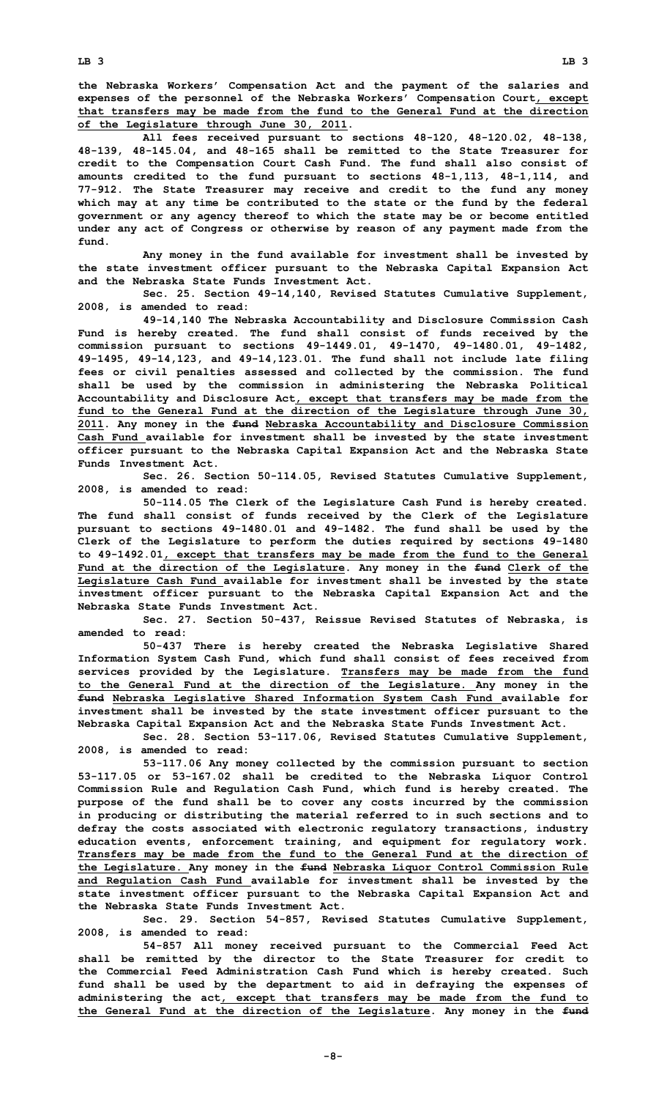**the Nebraska Workers' Compensation Act and the payment of the salaries and expenses of the personnel of the Nebraska Workers' Compensation Court, except that transfers may be made from the fund to the General Fund at the direction of the Legislature through June 30, 2011.**

**All fees received pursuant to sections 48-120, 48-120.02, 48-138, 48-139, 48-145.04, and 48-165 shall be remitted to the State Treasurer for credit to the Compensation Court Cash Fund. The fund shall also consist of amounts credited to the fund pursuant to sections 48-1,113, 48-1,114, and 77-912. The State Treasurer may receive and credit to the fund any money which may at any time be contributed to the state or the fund by the federal government or any agency thereof to which the state may be or become entitled under any act of Congress or otherwise by reason of any payment made from the fund.**

**Any money in the fund available for investment shall be invested by the state investment officer pursuant to the Nebraska Capital Expansion Act and the Nebraska State Funds Investment Act.**

**Sec. 25. Section 49-14,140, Revised Statutes Cumulative Supplement, 2008, is amended to read:**

**49-14,140 The Nebraska Accountability and Disclosure Commission Cash Fund is hereby created. The fund shall consist of funds received by the commission pursuant to sections 49-1449.01, 49-1470, 49-1480.01, 49-1482, 49-1495, 49-14,123, and 49-14,123.01. The fund shall not include late filing fees or civil penalties assessed and collected by the commission. The fund shall be used by the commission in administering the Nebraska Political Accountability and Disclosure Act, except that transfers may be made from the fund to the General Fund at the direction of the Legislature through June 30, 2011. Any money in the fund Nebraska Accountability and Disclosure Commission Cash Fund available for investment shall be invested by the state investment officer pursuant to the Nebraska Capital Expansion Act and the Nebraska State Funds Investment Act.**

**Sec. 26. Section 50-114.05, Revised Statutes Cumulative Supplement, 2008, is amended to read:**

**50-114.05 The Clerk of the Legislature Cash Fund is hereby created. The fund shall consist of funds received by the Clerk of the Legislature pursuant to sections 49-1480.01 and 49-1482. The fund shall be used by the Clerk of the Legislature to perform the duties required by sections 49-1480 to 49-1492.01, except that transfers may be made from the fund to the General Fund at the direction of the Legislature. Any money in the fund Clerk of the Legislature Cash Fund available for investment shall be invested by the state investment officer pursuant to the Nebraska Capital Expansion Act and the Nebraska State Funds Investment Act.**

**Sec. 27. Section 50-437, Reissue Revised Statutes of Nebraska, is amended to read:**

**50-437 There is hereby created the Nebraska Legislative Shared Information System Cash Fund, which fund shall consist of fees received from services provided by the Legislature. Transfers may be made from the fund to the General Fund at the direction of the Legislature. Any money in the fund Nebraska Legislative Shared Information System Cash Fund available for investment shall be invested by the state investment officer pursuant to the Nebraska Capital Expansion Act and the Nebraska State Funds Investment Act.**

**Sec. 28. Section 53-117.06, Revised Statutes Cumulative Supplement, 2008, is amended to read:**

**53-117.06 Any money collected by the commission pursuant to section 53-117.05 or 53-167.02 shall be credited to the Nebraska Liquor Control Commission Rule and Regulation Cash Fund, which fund is hereby created. The purpose of the fund shall be to cover any costs incurred by the commission in producing or distributing the material referred to in such sections and to defray the costs associated with electronic regulatory transactions, industry education events, enforcement training, and equipment for regulatory work. Transfers may be made from the fund to the General Fund at the direction of the Legislature. Any money in the fund Nebraska Liquor Control Commission Rule and Regulation Cash Fund available for investment shall be invested by the state investment officer pursuant to the Nebraska Capital Expansion Act and the Nebraska State Funds Investment Act.**

**Sec. 29. Section 54-857, Revised Statutes Cumulative Supplement, 2008, is amended to read:**

**54-857 All money received pursuant to the Commercial Feed Act shall be remitted by the director to the State Treasurer for credit to the Commercial Feed Administration Cash Fund which is hereby created. Such fund shall be used by the department to aid in defraying the expenses of administering the act, except that transfers may be made from the fund to the General Fund at the direction of the Legislature. Any money in the fund**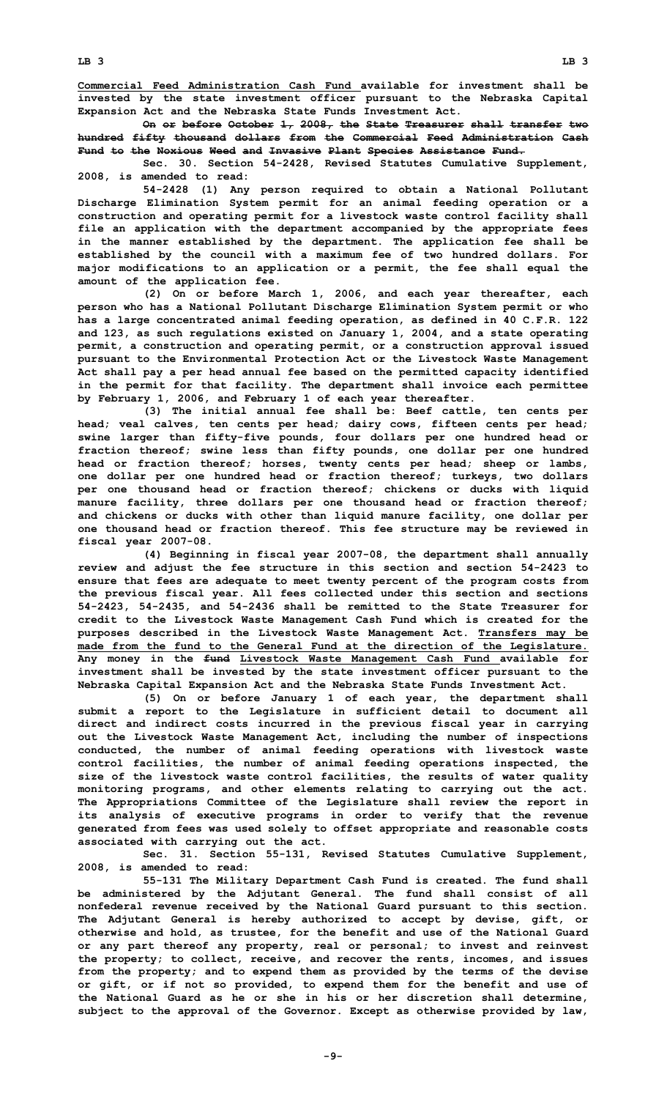**Commercial Feed Administration Cash Fund available for investment shall be invested by the state investment officer pursuant to the Nebraska Capital Expansion Act and the Nebraska State Funds Investment Act.**

**On or before October 1, 2008, the State Treasurer shall transfer two hundred fifty thousand dollars from the Commercial Feed Administration Cash Fund to the Noxious Weed and Invasive Plant Species Assistance Fund.**

**Sec. 30. Section 54-2428, Revised Statutes Cumulative Supplement, 2008, is amended to read:**

**54-2428 (1) Any person required to obtain <sup>a</sup> National Pollutant Discharge Elimination System permit for an animal feeding operation or <sup>a</sup> construction and operating permit for <sup>a</sup> livestock waste control facility shall file an application with the department accompanied by the appropriate fees in the manner established by the department. The application fee shall be established by the council with <sup>a</sup> maximum fee of two hundred dollars. For major modifications to an application or <sup>a</sup> permit, the fee shall equal the amount of the application fee.**

**(2) On or before March 1, 2006, and each year thereafter, each person who has <sup>a</sup> National Pollutant Discharge Elimination System permit or who has <sup>a</sup> large concentrated animal feeding operation, as defined in 40 C.F.R. 122 and 123, as such regulations existed on January 1, 2004, and <sup>a</sup> state operating permit, <sup>a</sup> construction and operating permit, or <sup>a</sup> construction approval issued pursuant to the Environmental Protection Act or the Livestock Waste Management Act shall pay <sup>a</sup> per head annual fee based on the permitted capacity identified in the permit for that facility. The department shall invoice each permittee by February 1, 2006, and February 1 of each year thereafter.**

**(3) The initial annual fee shall be: Beef cattle, ten cents per head; veal calves, ten cents per head; dairy cows, fifteen cents per head; swine larger than fifty-five pounds, four dollars per one hundred head or fraction thereof; swine less than fifty pounds, one dollar per one hundred head or fraction thereof; horses, twenty cents per head; sheep or lambs, one dollar per one hundred head or fraction thereof; turkeys, two dollars per one thousand head or fraction thereof; chickens or ducks with liquid manure facility, three dollars per one thousand head or fraction thereof; and chickens or ducks with other than liquid manure facility, one dollar per one thousand head or fraction thereof. This fee structure may be reviewed in fiscal year 2007-08.**

**(4) Beginning in fiscal year 2007-08, the department shall annually review and adjust the fee structure in this section and section 54-2423 to ensure that fees are adequate to meet twenty percent of the program costs from the previous fiscal year. All fees collected under this section and sections 54-2423, 54-2435, and 54-2436 shall be remitted to the State Treasurer for credit to the Livestock Waste Management Cash Fund which is created for the purposes described in the Livestock Waste Management Act. Transfers may be made from the fund to the General Fund at the direction of the Legislature. Any money in the fund Livestock Waste Management Cash Fund available for investment shall be invested by the state investment officer pursuant to the Nebraska Capital Expansion Act and the Nebraska State Funds Investment Act.**

**(5) On or before January 1 of each year, the department shall submit <sup>a</sup> report to the Legislature in sufficient detail to document all direct and indirect costs incurred in the previous fiscal year in carrying out the Livestock Waste Management Act, including the number of inspections conducted, the number of animal feeding operations with livestock waste control facilities, the number of animal feeding operations inspected, the size of the livestock waste control facilities, the results of water quality monitoring programs, and other elements relating to carrying out the act. The Appropriations Committee of the Legislature shall review the report in its analysis of executive programs in order to verify that the revenue generated from fees was used solely to offset appropriate and reasonable costs associated with carrying out the act.**

**Sec. 31. Section 55-131, Revised Statutes Cumulative Supplement, 2008, is amended to read:**

**55-131 The Military Department Cash Fund is created. The fund shall be administered by the Adjutant General. The fund shall consist of all nonfederal revenue received by the National Guard pursuant to this section. The Adjutant General is hereby authorized to accept by devise, gift, or otherwise and hold, as trustee, for the benefit and use of the National Guard or any part thereof any property, real or personal; to invest and reinvest the property; to collect, receive, and recover the rents, incomes, and issues from the property; and to expend them as provided by the terms of the devise or gift, or if not so provided, to expend them for the benefit and use of the National Guard as he or she in his or her discretion shall determine, subject to the approval of the Governor. Except as otherwise provided by law,**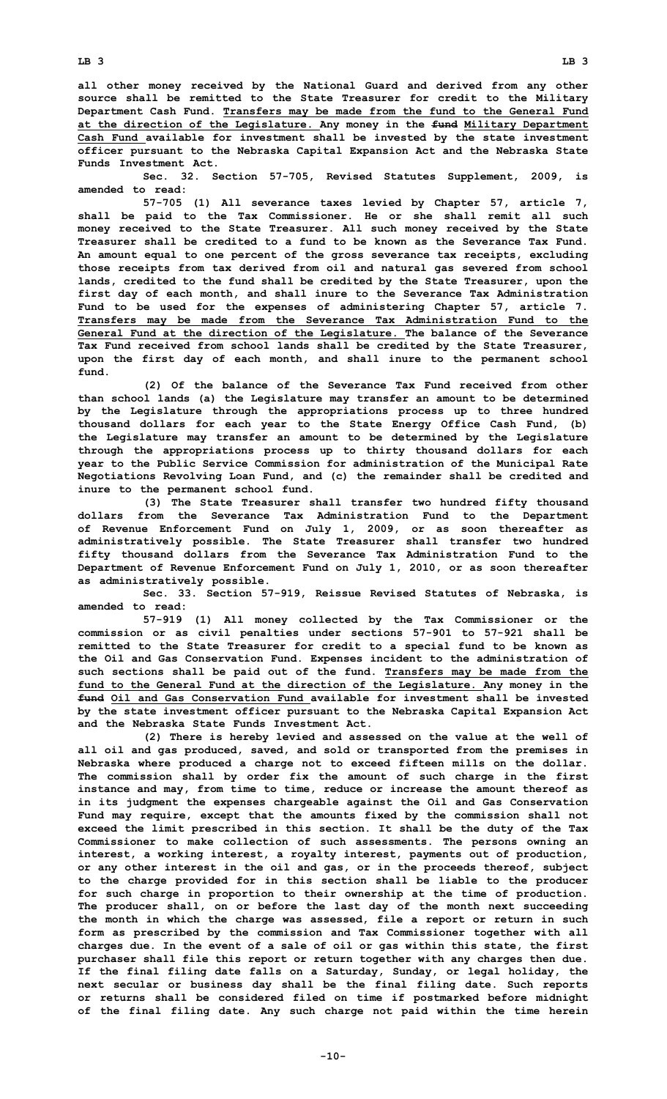**all other money received by the National Guard and derived from any other source shall be remitted to the State Treasurer for credit to the Military Department Cash Fund. Transfers may be made from the fund to the General Fund**

**at the direction of the Legislature. Any money in the fund Military Department Cash Fund available for investment shall be invested by the state investment officer pursuant to the Nebraska Capital Expansion Act and the Nebraska State Funds Investment Act.**

**Sec. 32. Section 57-705, Revised Statutes Supplement, 2009, is amended to read:**

**57-705 (1) All severance taxes levied by Chapter 57, article 7, shall be paid to the Tax Commissioner. He or she shall remit all such money received to the State Treasurer. All such money received by the State Treasurer shall be credited to a fund to be known as the Severance Tax Fund. An amount equal to one percent of the gross severance tax receipts, excluding those receipts from tax derived from oil and natural gas severed from school lands, credited to the fund shall be credited by the State Treasurer, upon the first day of each month, and shall inure to the Severance Tax Administration Fund to be used for the expenses of administering Chapter 57, article 7. Transfers may be made from the Severance Tax Administration Fund to the General Fund at the direction of the Legislature. The balance of the Severance Tax Fund received from school lands shall be credited by the State Treasurer, upon the first day of each month, and shall inure to the permanent school fund.**

**(2) Of the balance of the Severance Tax Fund received from other than school lands (a) the Legislature may transfer an amount to be determined by the Legislature through the appropriations process up to three hundred thousand dollars for each year to the State Energy Office Cash Fund, (b) the Legislature may transfer an amount to be determined by the Legislature through the appropriations process up to thirty thousand dollars for each year to the Public Service Commission for administration of the Municipal Rate Negotiations Revolving Loan Fund, and (c) the remainder shall be credited and inure to the permanent school fund.**

**(3) The State Treasurer shall transfer two hundred fifty thousand dollars from the Severance Tax Administration Fund to the Department of Revenue Enforcement Fund on July 1, 2009, or as soon thereafter as administratively possible. The State Treasurer shall transfer two hundred fifty thousand dollars from the Severance Tax Administration Fund to the Department of Revenue Enforcement Fund on July 1, 2010, or as soon thereafter as administratively possible.**

**Sec. 33. Section 57-919, Reissue Revised Statutes of Nebraska, is amended to read:**

**57-919 (1) All money collected by the Tax Commissioner or the commission or as civil penalties under sections 57-901 to 57-921 shall be remitted to the State Treasurer for credit to <sup>a</sup> special fund to be known as the Oil and Gas Conservation Fund. Expenses incident to the administration of such sections shall be paid out of the fund. Transfers may be made from the fund to the General Fund at the direction of the Legislature. Any money in the fund Oil and Gas Conservation Fund available for investment shall be invested by the state investment officer pursuant to the Nebraska Capital Expansion Act and the Nebraska State Funds Investment Act.**

**(2) There is hereby levied and assessed on the value at the well of all oil and gas produced, saved, and sold or transported from the premises in Nebraska where produced <sup>a</sup> charge not to exceed fifteen mills on the dollar. The commission shall by order fix the amount of such charge in the first instance and may, from time to time, reduce or increase the amount thereof as in its judgment the expenses chargeable against the Oil and Gas Conservation Fund may require, except that the amounts fixed by the commission shall not exceed the limit prescribed in this section. It shall be the duty of the Tax Commissioner to make collection of such assessments. The persons owning an interest, <sup>a</sup> working interest, <sup>a</sup> royalty interest, payments out of production, or any other interest in the oil and gas, or in the proceeds thereof, subject to the charge provided for in this section shall be liable to the producer for such charge in proportion to their ownership at the time of production. The producer shall, on or before the last day of the month next succeeding the month in which the charge was assessed, file <sup>a</sup> report or return in such form as prescribed by the commission and Tax Commissioner together with all charges due. In the event of <sup>a</sup> sale of oil or gas within this state, the first purchaser shall file this report or return together with any charges then due. If the final filing date falls on <sup>a</sup> Saturday, Sunday, or legal holiday, the next secular or business day shall be the final filing date. Such reports or returns shall be considered filed on time if postmarked before midnight of the final filing date. Any such charge not paid within the time herein**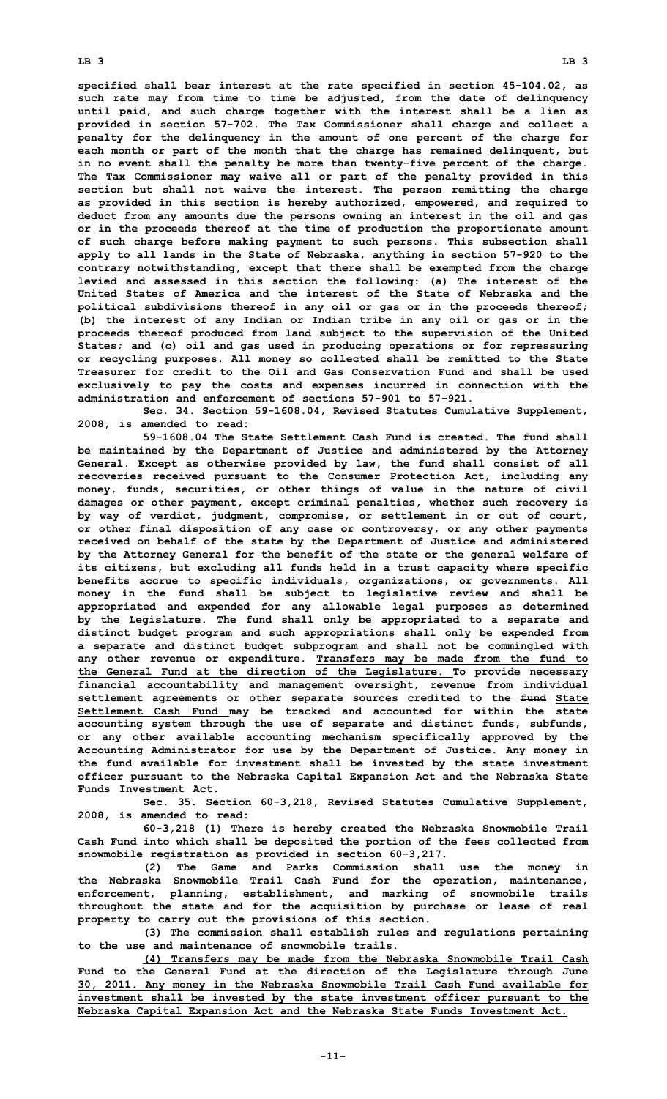**LB 3 LB 3**

**specified shall bear interest at the rate specified in section 45-104.02, as such rate may from time to time be adjusted, from the date of delinquency until paid, and such charge together with the interest shall be <sup>a</sup> lien as provided in section 57-702. The Tax Commissioner shall charge and collect <sup>a</sup> penalty for the delinquency in the amount of one percent of the charge for each month or part of the month that the charge has remained delinquent, but in no event shall the penalty be more than twenty-five percent of the charge. The Tax Commissioner may waive all or part of the penalty provided in this section but shall not waive the interest. The person remitting the charge as provided in this section is hereby authorized, empowered, and required to deduct from any amounts due the persons owning an interest in the oil and gas or in the proceeds thereof at the time of production the proportionate amount of such charge before making payment to such persons. This subsection shall apply to all lands in the State of Nebraska, anything in section 57-920 to the contrary notwithstanding, except that there shall be exempted from the charge levied and assessed in this section the following: (a) The interest of the United States of America and the interest of the State of Nebraska and the political subdivisions thereof in any oil or gas or in the proceeds thereof; (b) the interest of any Indian or Indian tribe in any oil or gas or in the proceeds thereof produced from land subject to the supervision of the United States; and (c) oil and gas used in producing operations or for repressuring or recycling purposes. All money so collected shall be remitted to the State Treasurer for credit to the Oil and Gas Conservation Fund and shall be used exclusively to pay the costs and expenses incurred in connection with the administration and enforcement of sections 57-901 to 57-921.**

**Sec. 34. Section 59-1608.04, Revised Statutes Cumulative Supplement, 2008, is amended to read:**

**59-1608.04 The State Settlement Cash Fund is created. The fund shall be maintained by the Department of Justice and administered by the Attorney General. Except as otherwise provided by law, the fund shall consist of all recoveries received pursuant to the Consumer Protection Act, including any money, funds, securities, or other things of value in the nature of civil damages or other payment, except criminal penalties, whether such recovery is by way of verdict, judgment, compromise, or settlement in or out of court, or other final disposition of any case or controversy, or any other payments received on behalf of the state by the Department of Justice and administered by the Attorney General for the benefit of the state or the general welfare of its citizens, but excluding all funds held in <sup>a</sup> trust capacity where specific benefits accrue to specific individuals, organizations, or governments. All money in the fund shall be subject to legislative review and shall be appropriated and expended for any allowable legal purposes as determined by the Legislature. The fund shall only be appropriated to <sup>a</sup> separate and distinct budget program and such appropriations shall only be expended from <sup>a</sup> separate and distinct budget subprogram and shall not be commingled with any other revenue or expenditure. Transfers may be made from the fund to the General Fund at the direction of the Legislature. To provide necessary financial accountability and management oversight, revenue from individual settlement agreements or other separate sources credited to the fund State Settlement Cash Fund may be tracked and accounted for within the state accounting system through the use of separate and distinct funds, subfunds, or any other available accounting mechanism specifically approved by the Accounting Administrator for use by the Department of Justice. Any money in the fund available for investment shall be invested by the state investment officer pursuant to the Nebraska Capital Expansion Act and the Nebraska State Funds Investment Act.**

**Sec. 35. Section 60-3,218, Revised Statutes Cumulative Supplement, 2008, is amended to read:**

**60-3,218 (1) There is hereby created the Nebraska Snowmobile Trail Cash Fund into which shall be deposited the portion of the fees collected from snowmobile registration as provided in section 60-3,217.**

**(2) The Game and Parks Commission shall use the money in the Nebraska Snowmobile Trail Cash Fund for the operation, maintenance, enforcement, planning, establishment, and marking of snowmobile trails throughout the state and for the acquisition by purchase or lease of real property to carry out the provisions of this section.**

**(3) The commission shall establish rules and regulations pertaining to the use and maintenance of snowmobile trails.**

**(4) Transfers may be made from the Nebraska Snowmobile Trail Cash Fund to the General Fund at the direction of the Legislature through June 30, 2011. Any money in the Nebraska Snowmobile Trail Cash Fund available for investment shall be invested by the state investment officer pursuant to the Nebraska Capital Expansion Act and the Nebraska State Funds Investment Act.**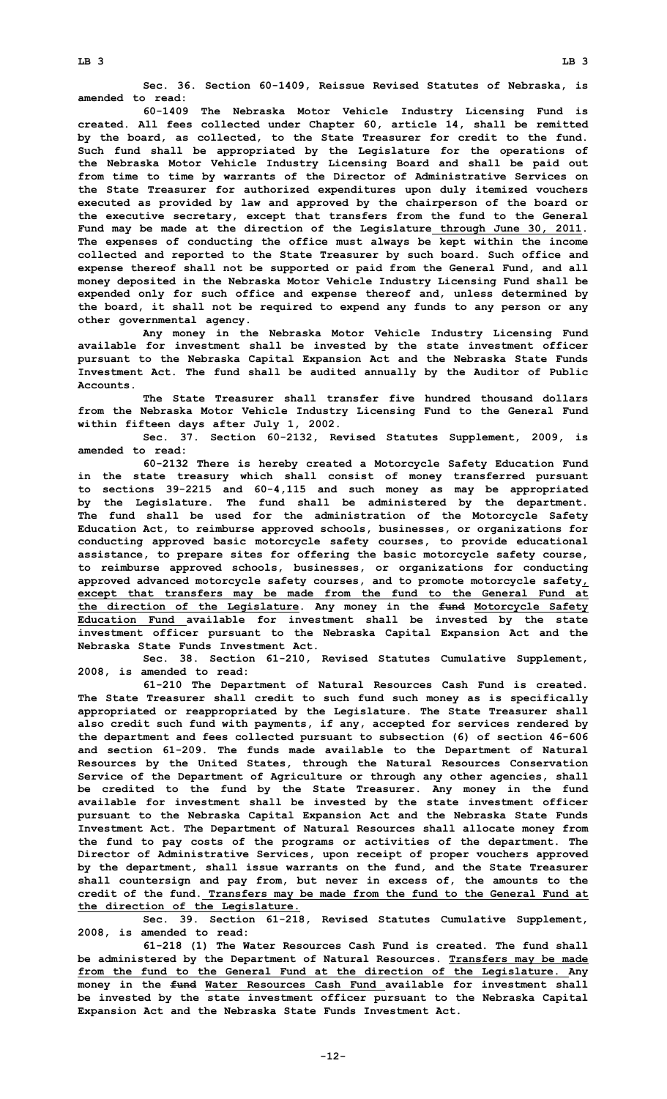**Sec. 36. Section 60-1409, Reissue Revised Statutes of Nebraska, is amended to read:**

**60-1409 The Nebraska Motor Vehicle Industry Licensing Fund is created. All fees collected under Chapter 60, article 14, shall be remitted by the board, as collected, to the State Treasurer for credit to the fund. Such fund shall be appropriated by the Legislature for the operations of the Nebraska Motor Vehicle Industry Licensing Board and shall be paid out from time to time by warrants of the Director of Administrative Services on the State Treasurer for authorized expenditures upon duly itemized vouchers executed as provided by law and approved by the chairperson of the board or the executive secretary, except that transfers from the fund to the General Fund may be made at the direction of the Legislature through June 30, 2011. The expenses of conducting the office must always be kept within the income collected and reported to the State Treasurer by such board. Such office and expense thereof shall not be supported or paid from the General Fund, and all money deposited in the Nebraska Motor Vehicle Industry Licensing Fund shall be expended only for such office and expense thereof and, unless determined by the board, it shall not be required to expend any funds to any person or any other governmental agency.**

**Any money in the Nebraska Motor Vehicle Industry Licensing Fund available for investment shall be invested by the state investment officer pursuant to the Nebraska Capital Expansion Act and the Nebraska State Funds Investment Act. The fund shall be audited annually by the Auditor of Public Accounts.**

**The State Treasurer shall transfer five hundred thousand dollars from the Nebraska Motor Vehicle Industry Licensing Fund to the General Fund within fifteen days after July 1, 2002.**

**Sec. 37. Section 60-2132, Revised Statutes Supplement, 2009, is amended to read:**

**60-2132 There is hereby created <sup>a</sup> Motorcycle Safety Education Fund in the state treasury which shall consist of money transferred pursuant to sections 39-2215 and 60-4,115 and such money as may be appropriated by the Legislature. The fund shall be administered by the department. The fund shall be used for the administration of the Motorcycle Safety Education Act, to reimburse approved schools, businesses, or organizations for conducting approved basic motorcycle safety courses, to provide educational assistance, to prepare sites for offering the basic motorcycle safety course, to reimburse approved schools, businesses, or organizations for conducting approved advanced motorcycle safety courses, and to promote motorcycle safety, except that transfers may be made from the fund to the General Fund at the direction of the Legislature. Any money in the fund Motorcycle Safety Education Fund available for investment shall be invested by the state investment officer pursuant to the Nebraska Capital Expansion Act and the Nebraska State Funds Investment Act.**

**Sec. 38. Section 61-210, Revised Statutes Cumulative Supplement, 2008, is amended to read:**

**61-210 The Department of Natural Resources Cash Fund is created. The State Treasurer shall credit to such fund such money as is specifically appropriated or reappropriated by the Legislature. The State Treasurer shall also credit such fund with payments, if any, accepted for services rendered by the department and fees collected pursuant to subsection (6) of section 46-606 and section 61-209. The funds made available to the Department of Natural Resources by the United States, through the Natural Resources Conservation Service of the Department of Agriculture or through any other agencies, shall be credited to the fund by the State Treasurer. Any money in the fund available for investment shall be invested by the state investment officer pursuant to the Nebraska Capital Expansion Act and the Nebraska State Funds Investment Act. The Department of Natural Resources shall allocate money from the fund to pay costs of the programs or activities of the department. The Director of Administrative Services, upon receipt of proper vouchers approved by the department, shall issue warrants on the fund, and the State Treasurer shall countersign and pay from, but never in excess of, the amounts to the credit of the fund. Transfers may be made from the fund to the General Fund at the direction of the Legislature.**

**Sec. 39. Section 61-218, Revised Statutes Cumulative Supplement, 2008, is amended to read:**

**61-218 (1) The Water Resources Cash Fund is created. The fund shall be administered by the Department of Natural Resources. Transfers may be made from the fund to the General Fund at the direction of the Legislature. Any money in the fund Water Resources Cash Fund available for investment shall be invested by the state investment officer pursuant to the Nebraska Capital Expansion Act and the Nebraska State Funds Investment Act.**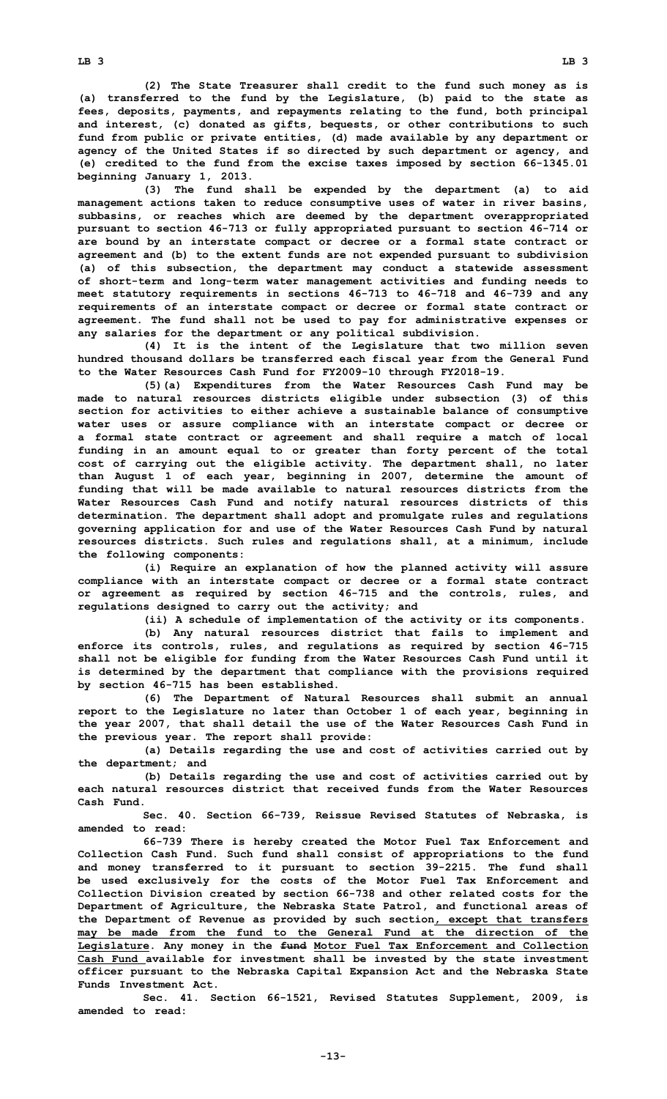**(2) The State Treasurer shall credit to the fund such money as is (a) transferred to the fund by the Legislature, (b) paid to the state as fees, deposits, payments, and repayments relating to the fund, both principal and interest, (c) donated as gifts, bequests, or other contributions to such fund from public or private entities, (d) made available by any department or agency of the United States if so directed by such department or agency, and (e) credited to the fund from the excise taxes imposed by section 66-1345.01 beginning January 1, 2013.**

**(3) The fund shall be expended by the department (a) to aid management actions taken to reduce consumptive uses of water in river basins, subbasins, or reaches which are deemed by the department overappropriated pursuant to section 46-713 or fully appropriated pursuant to section 46-714 or are bound by an interstate compact or decree or <sup>a</sup> formal state contract or agreement and (b) to the extent funds are not expended pursuant to subdivision (a) of this subsection, the department may conduct <sup>a</sup> statewide assessment of short-term and long-term water management activities and funding needs to meet statutory requirements in sections 46-713 to 46-718 and 46-739 and any requirements of an interstate compact or decree or formal state contract or agreement. The fund shall not be used to pay for administrative expenses or any salaries for the department or any political subdivision.**

**(4) It is the intent of the Legislature that two million seven hundred thousand dollars be transferred each fiscal year from the General Fund to the Water Resources Cash Fund for FY2009-10 through FY2018-19.**

**(5)(a) Expenditures from the Water Resources Cash Fund may be made to natural resources districts eligible under subsection (3) of this section for activities to either achieve <sup>a</sup> sustainable balance of consumptive water uses or assure compliance with an interstate compact or decree or <sup>a</sup> formal state contract or agreement and shall require <sup>a</sup> match of local funding in an amount equal to or greater than forty percent of the total cost of carrying out the eligible activity. The department shall, no later than August 1 of each year, beginning in 2007, determine the amount of funding that will be made available to natural resources districts from the Water Resources Cash Fund and notify natural resources districts of this determination. The department shall adopt and promulgate rules and regulations governing application for and use of the Water Resources Cash Fund by natural resources districts. Such rules and regulations shall, at <sup>a</sup> minimum, include the following components:**

**(i) Require an explanation of how the planned activity will assure compliance with an interstate compact or decree or <sup>a</sup> formal state contract or agreement as required by section 46-715 and the controls, rules, and regulations designed to carry out the activity; and**

**(ii) <sup>A</sup> schedule of implementation of the activity or its components.**

**(b) Any natural resources district that fails to implement and enforce its controls, rules, and regulations as required by section 46-715 shall not be eligible for funding from the Water Resources Cash Fund until it is determined by the department that compliance with the provisions required by section 46-715 has been established.**

**(6) The Department of Natural Resources shall submit an annual report to the Legislature no later than October 1 of each year, beginning in the year 2007, that shall detail the use of the Water Resources Cash Fund in the previous year. The report shall provide:**

**(a) Details regarding the use and cost of activities carried out by the department; and**

**(b) Details regarding the use and cost of activities carried out by each natural resources district that received funds from the Water Resources Cash Fund.**

**Sec. 40. Section 66-739, Reissue Revised Statutes of Nebraska, is amended to read:**

**66-739 There is hereby created the Motor Fuel Tax Enforcement and Collection Cash Fund. Such fund shall consist of appropriations to the fund and money transferred to it pursuant to section 39-2215. The fund shall be used exclusively for the costs of the Motor Fuel Tax Enforcement and Collection Division created by section 66-738 and other related costs for the Department of Agriculture, the Nebraska State Patrol, and functional areas of the Department of Revenue as provided by such section, except that transfers may be made from the fund to the General Fund at the direction of the Legislature. Any money in the fund Motor Fuel Tax Enforcement and Collection Cash Fund available for investment shall be invested by the state investment officer pursuant to the Nebraska Capital Expansion Act and the Nebraska State Funds Investment Act.**

**Sec. 41. Section 66-1521, Revised Statutes Supplement, 2009, is amended to read:**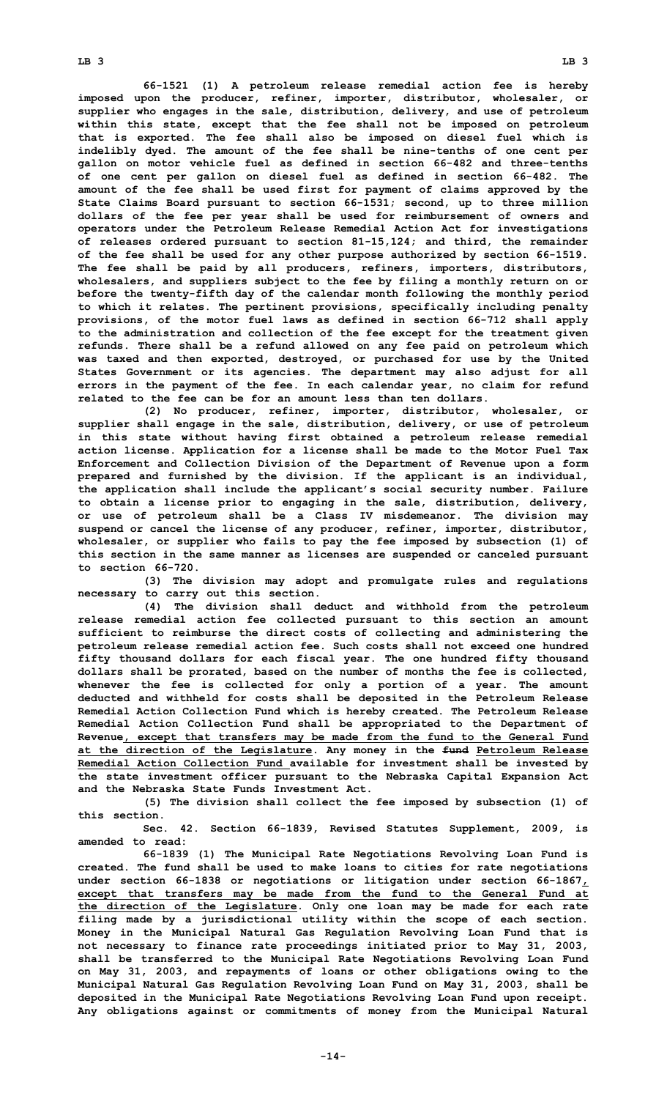**LB 3 LB 3**

**66-1521 (1) <sup>A</sup> petroleum release remedial action fee is hereby imposed upon the producer, refiner, importer, distributor, wholesaler, or supplier who engages in the sale, distribution, delivery, and use of petroleum within this state, except that the fee shall not be imposed on petroleum that is exported. The fee shall also be imposed on diesel fuel which is indelibly dyed. The amount of the fee shall be nine-tenths of one cent per gallon on motor vehicle fuel as defined in section 66-482 and three-tenths of one cent per gallon on diesel fuel as defined in section 66-482. The amount of the fee shall be used first for payment of claims approved by the State Claims Board pursuant to section 66-1531; second, up to three million dollars of the fee per year shall be used for reimbursement of owners and operators under the Petroleum Release Remedial Action Act for investigations of releases ordered pursuant to section 81-15,124; and third, the remainder of the fee shall be used for any other purpose authorized by section 66-1519. The fee shall be paid by all producers, refiners, importers, distributors, wholesalers, and suppliers subject to the fee by filing <sup>a</sup> monthly return on or before the twenty-fifth day of the calendar month following the monthly period to which it relates. The pertinent provisions, specifically including penalty provisions, of the motor fuel laws as defined in section 66-712 shall apply**

**to the administration and collection of the fee except for the treatment given refunds. There shall be <sup>a</sup> refund allowed on any fee paid on petroleum which was taxed and then exported, destroyed, or purchased for use by the United States Government or its agencies. The department may also adjust for all errors in the payment of the fee. In each calendar year, no claim for refund related to the fee can be for an amount less than ten dollars.**

**(2) No producer, refiner, importer, distributor, wholesaler, or supplier shall engage in the sale, distribution, delivery, or use of petroleum in this state without having first obtained <sup>a</sup> petroleum release remedial action license. Application for <sup>a</sup> license shall be made to the Motor Fuel Tax Enforcement and Collection Division of the Department of Revenue upon <sup>a</sup> form prepared and furnished by the division. If the applicant is an individual, the application shall include the applicant's social security number. Failure to obtain <sup>a</sup> license prior to engaging in the sale, distribution, delivery, or use of petroleum shall be <sup>a</sup> Class IV misdemeanor. The division may suspend or cancel the license of any producer, refiner, importer, distributor, wholesaler, or supplier who fails to pay the fee imposed by subsection (1) of this section in the same manner as licenses are suspended or canceled pursuant to section 66-720.**

**(3) The division may adopt and promulgate rules and regulations necessary to carry out this section.**

**(4) The division shall deduct and withhold from the petroleum release remedial action fee collected pursuant to this section an amount sufficient to reimburse the direct costs of collecting and administering the petroleum release remedial action fee. Such costs shall not exceed one hundred fifty thousand dollars for each fiscal year. The one hundred fifty thousand dollars shall be prorated, based on the number of months the fee is collected, whenever the fee is collected for only <sup>a</sup> portion of <sup>a</sup> year. The amount deducted and withheld for costs shall be deposited in the Petroleum Release Remedial Action Collection Fund which is hereby created. The Petroleum Release Remedial Action Collection Fund shall be appropriated to the Department of Revenue, except that transfers may be made from the fund to the General Fund at the direction of the Legislature. Any money in the fund Petroleum Release Remedial Action Collection Fund available for investment shall be invested by the state investment officer pursuant to the Nebraska Capital Expansion Act and the Nebraska State Funds Investment Act.**

**(5) The division shall collect the fee imposed by subsection (1) of this section.**

**Sec. 42. Section 66-1839, Revised Statutes Supplement, 2009, is amended to read:**

**66-1839 (1) The Municipal Rate Negotiations Revolving Loan Fund is created. The fund shall be used to make loans to cities for rate negotiations under section 66-1838 or negotiations or litigation under section 66-1867, except that transfers may be made from the fund to the General Fund at the direction of the Legislature. Only one loan may be made for each rate filing made by <sup>a</sup> jurisdictional utility within the scope of each section. Money in the Municipal Natural Gas Regulation Revolving Loan Fund that is not necessary to finance rate proceedings initiated prior to May 31, 2003, shall be transferred to the Municipal Rate Negotiations Revolving Loan Fund on May 31, 2003, and repayments of loans or other obligations owing to the Municipal Natural Gas Regulation Revolving Loan Fund on May 31, 2003, shall be deposited in the Municipal Rate Negotiations Revolving Loan Fund upon receipt. Any obligations against or commitments of money from the Municipal Natural**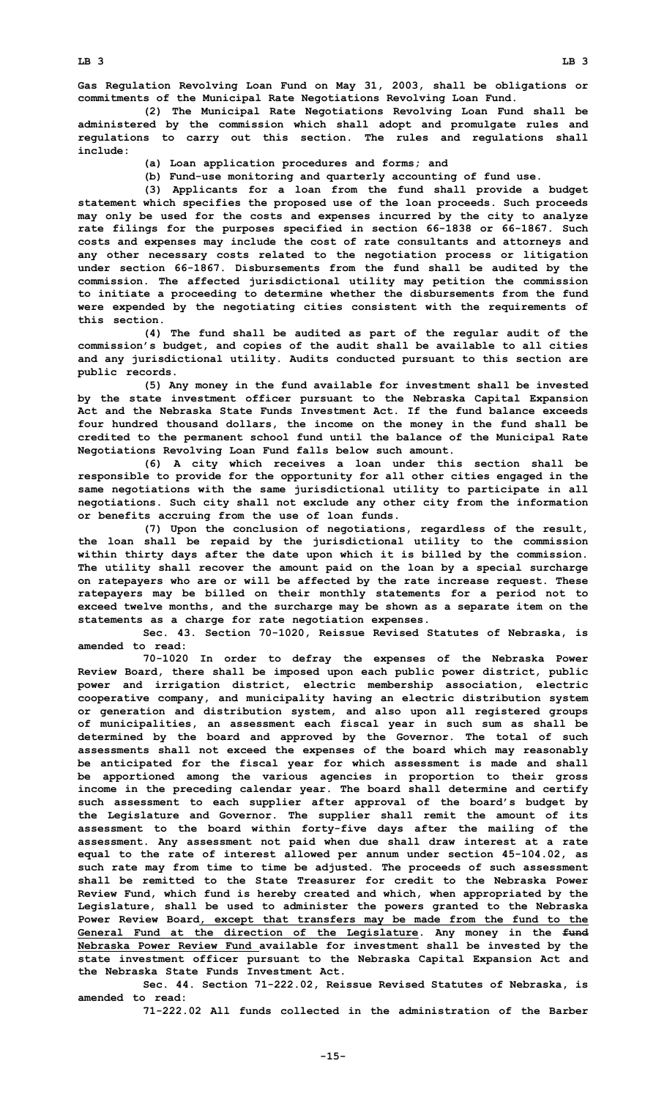**Gas Regulation Revolving Loan Fund on May 31, 2003, shall be obligations or commitments of the Municipal Rate Negotiations Revolving Loan Fund.**

**(2) The Municipal Rate Negotiations Revolving Loan Fund shall be administered by the commission which shall adopt and promulgate rules and regulations to carry out this section. The rules and regulations shall include:**

- **(a) Loan application procedures and forms; and**
- **(b) Fund-use monitoring and quarterly accounting of fund use.**

**(3) Applicants for <sup>a</sup> loan from the fund shall provide <sup>a</sup> budget statement which specifies the proposed use of the loan proceeds. Such proceeds may only be used for the costs and expenses incurred by the city to analyze rate filings for the purposes specified in section 66-1838 or 66-1867. Such costs and expenses may include the cost of rate consultants and attorneys and any other necessary costs related to the negotiation process or litigation under section 66-1867. Disbursements from the fund shall be audited by the commission. The affected jurisdictional utility may petition the commission to initiate <sup>a</sup> proceeding to determine whether the disbursements from the fund were expended by the negotiating cities consistent with the requirements of this section.**

**(4) The fund shall be audited as part of the regular audit of the commission's budget, and copies of the audit shall be available to all cities and any jurisdictional utility. Audits conducted pursuant to this section are public records.**

**(5) Any money in the fund available for investment shall be invested by the state investment officer pursuant to the Nebraska Capital Expansion Act and the Nebraska State Funds Investment Act. If the fund balance exceeds four hundred thousand dollars, the income on the money in the fund shall be credited to the permanent school fund until the balance of the Municipal Rate Negotiations Revolving Loan Fund falls below such amount.**

**(6) <sup>A</sup> city which receives <sup>a</sup> loan under this section shall be responsible to provide for the opportunity for all other cities engaged in the same negotiations with the same jurisdictional utility to participate in all negotiations. Such city shall not exclude any other city from the information or benefits accruing from the use of loan funds.**

**(7) Upon the conclusion of negotiations, regardless of the result, the loan shall be repaid by the jurisdictional utility to the commission within thirty days after the date upon which it is billed by the commission. The utility shall recover the amount paid on the loan by <sup>a</sup> special surcharge on ratepayers who are or will be affected by the rate increase request. These ratepayers may be billed on their monthly statements for <sup>a</sup> period not to exceed twelve months, and the surcharge may be shown as <sup>a</sup> separate item on the statements as <sup>a</sup> charge for rate negotiation expenses.**

**Sec. 43. Section 70-1020, Reissue Revised Statutes of Nebraska, is amended to read:**

**70-1020 In order to defray the expenses of the Nebraska Power Review Board, there shall be imposed upon each public power district, public power and irrigation district, electric membership association, electric cooperative company, and municipality having an electric distribution system or generation and distribution system, and also upon all registered groups of municipalities, an assessment each fiscal year in such sum as shall be determined by the board and approved by the Governor. The total of such assessments shall not exceed the expenses of the board which may reasonably be anticipated for the fiscal year for which assessment is made and shall be apportioned among the various agencies in proportion to their gross income in the preceding calendar year. The board shall determine and certify such assessment to each supplier after approval of the board's budget by the Legislature and Governor. The supplier shall remit the amount of its assessment to the board within forty-five days after the mailing of the assessment. Any assessment not paid when due shall draw interest at <sup>a</sup> rate equal to the rate of interest allowed per annum under section 45-104.02, as such rate may from time to time be adjusted. The proceeds of such assessment shall be remitted to the State Treasurer for credit to the Nebraska Power Review Fund, which fund is hereby created and which, when appropriated by the Legislature, shall be used to administer the powers granted to the Nebraska Power Review Board, except that transfers may be made from the fund to the General Fund at the direction of the Legislature. Any money in the fund Nebraska Power Review Fund available for investment shall be invested by the state investment officer pursuant to the Nebraska Capital Expansion Act and the Nebraska State Funds Investment Act.**

**Sec. 44. Section 71-222.02, Reissue Revised Statutes of Nebraska, is amended to read:**

**71-222.02 All funds collected in the administration of the Barber**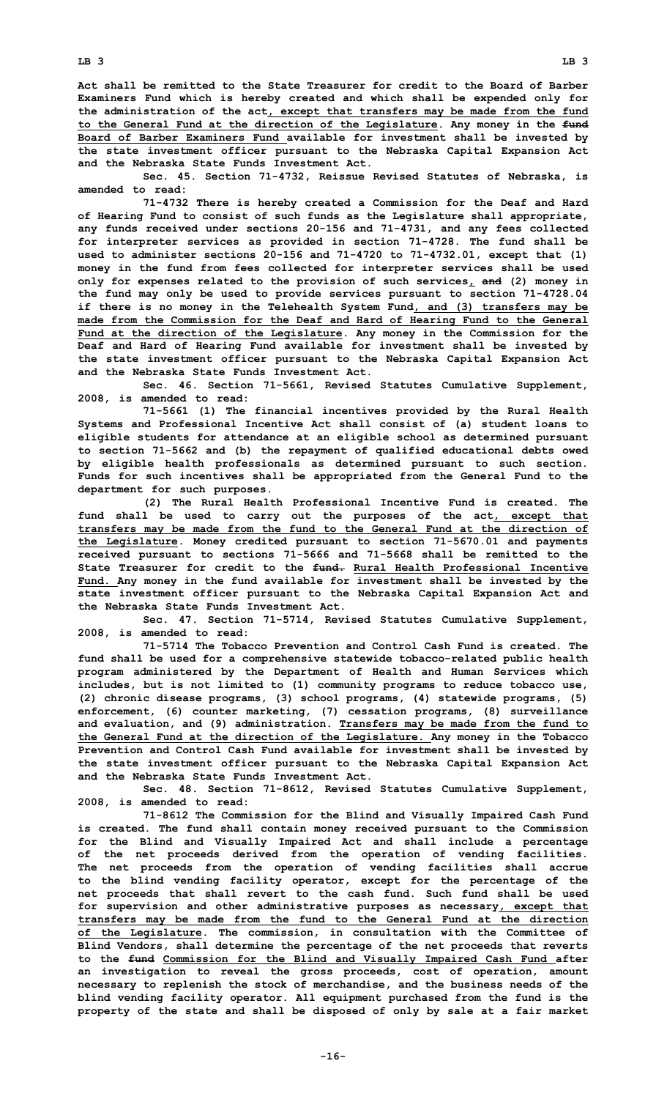**Act shall be remitted to the State Treasurer for credit to the Board of Barber Examiners Fund which is hereby created and which shall be expended only for the administration of the act, except that transfers may be made from the fund to the General Fund at the direction of the Legislature. Any money in the fund Board of Barber Examiners Fund available for investment shall be invested by the state investment officer pursuant to the Nebraska Capital Expansion Act and the Nebraska State Funds Investment Act.**

**Sec. 45. Section 71-4732, Reissue Revised Statutes of Nebraska, is amended to read:**

**71-4732 There is hereby created <sup>a</sup> Commission for the Deaf and Hard of Hearing Fund to consist of such funds as the Legislature shall appropriate, any funds received under sections 20-156 and 71-4731, and any fees collected for interpreter services as provided in section 71-4728. The fund shall be used to administer sections 20-156 and 71-4720 to 71-4732.01, except that (1) money in the fund from fees collected for interpreter services shall be used only for expenses related to the provision of such services, and (2) money in the fund may only be used to provide services pursuant to section 71-4728.04 if there is no money in the Telehealth System Fund, and (3) transfers may be made from the Commission for the Deaf and Hard of Hearing Fund to the General Fund at the direction of the Legislature. Any money in the Commission for the Deaf and Hard of Hearing Fund available for investment shall be invested by the state investment officer pursuant to the Nebraska Capital Expansion Act and the Nebraska State Funds Investment Act.**

**Sec. 46. Section 71-5661, Revised Statutes Cumulative Supplement, 2008, is amended to read:**

**71-5661 (1) The financial incentives provided by the Rural Health Systems and Professional Incentive Act shall consist of (a) student loans to eligible students for attendance at an eligible school as determined pursuant to section 71-5662 and (b) the repayment of qualified educational debts owed by eligible health professionals as determined pursuant to such section. Funds for such incentives shall be appropriated from the General Fund to the department for such purposes.**

**(2) The Rural Health Professional Incentive Fund is created. The fund shall be used to carry out the purposes of the act, except that transfers may be made from the fund to the General Fund at the direction of the Legislature. Money credited pursuant to section 71-5670.01 and payments received pursuant to sections 71-5666 and 71-5668 shall be remitted to the State Treasurer for credit to the fund. Rural Health Professional Incentive Fund. Any money in the fund available for investment shall be invested by the state investment officer pursuant to the Nebraska Capital Expansion Act and the Nebraska State Funds Investment Act.**

**Sec. 47. Section 71-5714, Revised Statutes Cumulative Supplement, 2008, is amended to read:**

**71-5714 The Tobacco Prevention and Control Cash Fund is created. The fund shall be used for <sup>a</sup> comprehensive statewide tobacco-related public health program administered by the Department of Health and Human Services which includes, but is not limited to (1) community programs to reduce tobacco use, (2) chronic disease programs, (3) school programs, (4) statewide programs, (5) enforcement, (6) counter marketing, (7) cessation programs, (8) surveillance and evaluation, and (9) administration. Transfers may be made from the fund to the General Fund at the direction of the Legislature. Any money in the Tobacco Prevention and Control Cash Fund available for investment shall be invested by the state investment officer pursuant to the Nebraska Capital Expansion Act and the Nebraska State Funds Investment Act.**

**Sec. 48. Section 71-8612, Revised Statutes Cumulative Supplement, 2008, is amended to read:**

**71-8612 The Commission for the Blind and Visually Impaired Cash Fund is created. The fund shall contain money received pursuant to the Commission for the Blind and Visually Impaired Act and shall include <sup>a</sup> percentage of the net proceeds derived from the operation of vending facilities. The net proceeds from the operation of vending facilities shall accrue to the blind vending facility operator, except for the percentage of the net proceeds that shall revert to the cash fund. Such fund shall be used for supervision and other administrative purposes as necessary, except that transfers may be made from the fund to the General Fund at the direction of the Legislature. The commission, in consultation with the Committee of Blind Vendors, shall determine the percentage of the net proceeds that reverts to the fund Commission for the Blind and Visually Impaired Cash Fund after an investigation to reveal the gross proceeds, cost of operation, amount necessary to replenish the stock of merchandise, and the business needs of the blind vending facility operator. All equipment purchased from the fund is the property of the state and shall be disposed of only by sale at <sup>a</sup> fair market**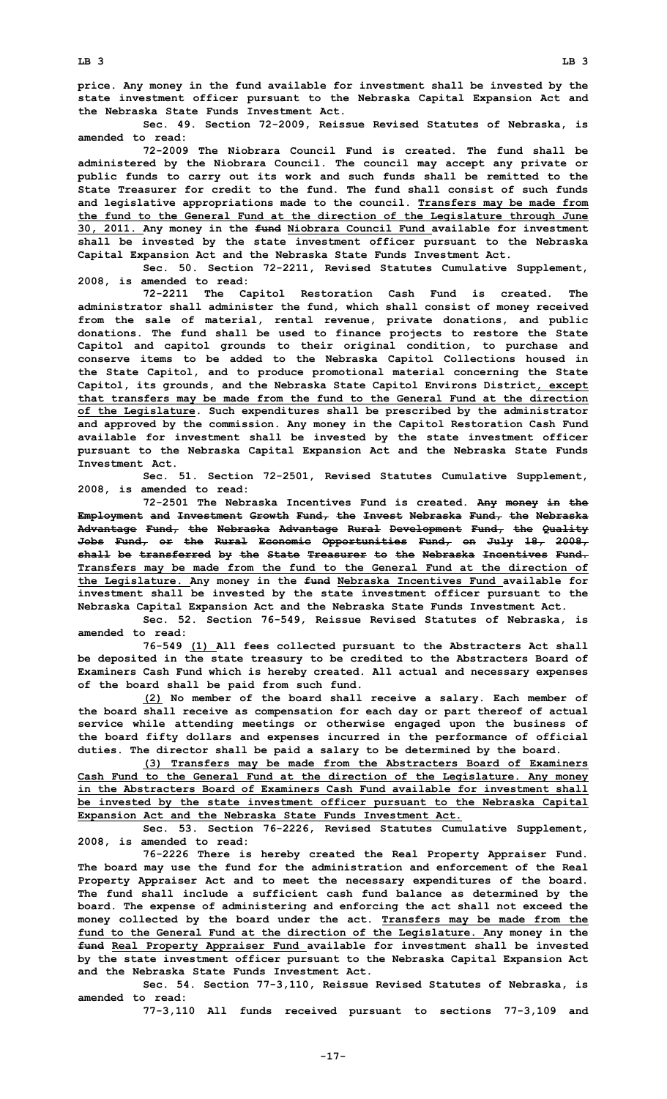**price. Any money in the fund available for investment shall be invested by the state investment officer pursuant to the Nebraska Capital Expansion Act and the Nebraska State Funds Investment Act.**

**Sec. 49. Section 72-2009, Reissue Revised Statutes of Nebraska, is amended to read:**

**72-2009 The Niobrara Council Fund is created. The fund shall be administered by the Niobrara Council. The council may accept any private or public funds to carry out its work and such funds shall be remitted to the State Treasurer for credit to the fund. The fund shall consist of such funds and legislative appropriations made to the council. Transfers may be made from the fund to the General Fund at the direction of the Legislature through June 30, 2011. Any money in the fund Niobrara Council Fund available for investment shall be invested by the state investment officer pursuant to the Nebraska Capital Expansion Act and the Nebraska State Funds Investment Act.**

**Sec. 50. Section 72-2211, Revised Statutes Cumulative Supplement, 2008, is amended to read:**

**72-2211 The Capitol Restoration Cash Fund is created. The administrator shall administer the fund, which shall consist of money received from the sale of material, rental revenue, private donations, and public donations. The fund shall be used to finance projects to restore the State Capitol and capitol grounds to their original condition, to purchase and conserve items to be added to the Nebraska Capitol Collections housed in the State Capitol, and to produce promotional material concerning the State Capitol, its grounds, and the Nebraska State Capitol Environs District, except that transfers may be made from the fund to the General Fund at the direction of the Legislature. Such expenditures shall be prescribed by the administrator and approved by the commission. Any money in the Capitol Restoration Cash Fund available for investment shall be invested by the state investment officer pursuant to the Nebraska Capital Expansion Act and the Nebraska State Funds Investment Act.**

**Sec. 51. Section 72-2501, Revised Statutes Cumulative Supplement, 2008, is amended to read:**

**72-2501 The Nebraska Incentives Fund is created. Any money in the Employment and Investment Growth Fund, the Invest Nebraska Fund, the Nebraska Advantage Fund, the Nebraska Advantage Rural Development Fund, the Quality Jobs Fund, or the Rural Economic Opportunities Fund, on July 18, 2008, shall be transferred by the State Treasurer to the Nebraska Incentives Fund. Transfers may be made from the fund to the General Fund at the direction of the Legislature. Any money in the fund Nebraska Incentives Fund available for investment shall be invested by the state investment officer pursuant to the Nebraska Capital Expansion Act and the Nebraska State Funds Investment Act.**

**Sec. 52. Section 76-549, Reissue Revised Statutes of Nebraska, is amended to read:**

**76-549 (1) All fees collected pursuant to the Abstracters Act shall be deposited in the state treasury to be credited to the Abstracters Board of Examiners Cash Fund which is hereby created. All actual and necessary expenses of the board shall be paid from such fund.**

**(2) No member of the board shall receive <sup>a</sup> salary. Each member of the board shall receive as compensation for each day or part thereof of actual service while attending meetings or otherwise engaged upon the business of the board fifty dollars and expenses incurred in the performance of official duties. The director shall be paid <sup>a</sup> salary to be determined by the board.**

**(3) Transfers may be made from the Abstracters Board of Examiners Cash Fund to the General Fund at the direction of the Legislature. Any money in the Abstracters Board of Examiners Cash Fund available for investment shall be invested by the state investment officer pursuant to the Nebraska Capital Expansion Act and the Nebraska State Funds Investment Act.**

**Sec. 53. Section 76-2226, Revised Statutes Cumulative Supplement, 2008, is amended to read:**

**76-2226 There is hereby created the Real Property Appraiser Fund. The board may use the fund for the administration and enforcement of the Real Property Appraiser Act and to meet the necessary expenditures of the board. The fund shall include <sup>a</sup> sufficient cash fund balance as determined by the board. The expense of administering and enforcing the act shall not exceed the money collected by the board under the act. Transfers may be made from the fund to the General Fund at the direction of the Legislature. Any money in the fund Real Property Appraiser Fund available for investment shall be invested by the state investment officer pursuant to the Nebraska Capital Expansion Act and the Nebraska State Funds Investment Act.**

**Sec. 54. Section 77-3,110, Reissue Revised Statutes of Nebraska, is amended to read:**

**77-3,110 All funds received pursuant to sections 77-3,109 and**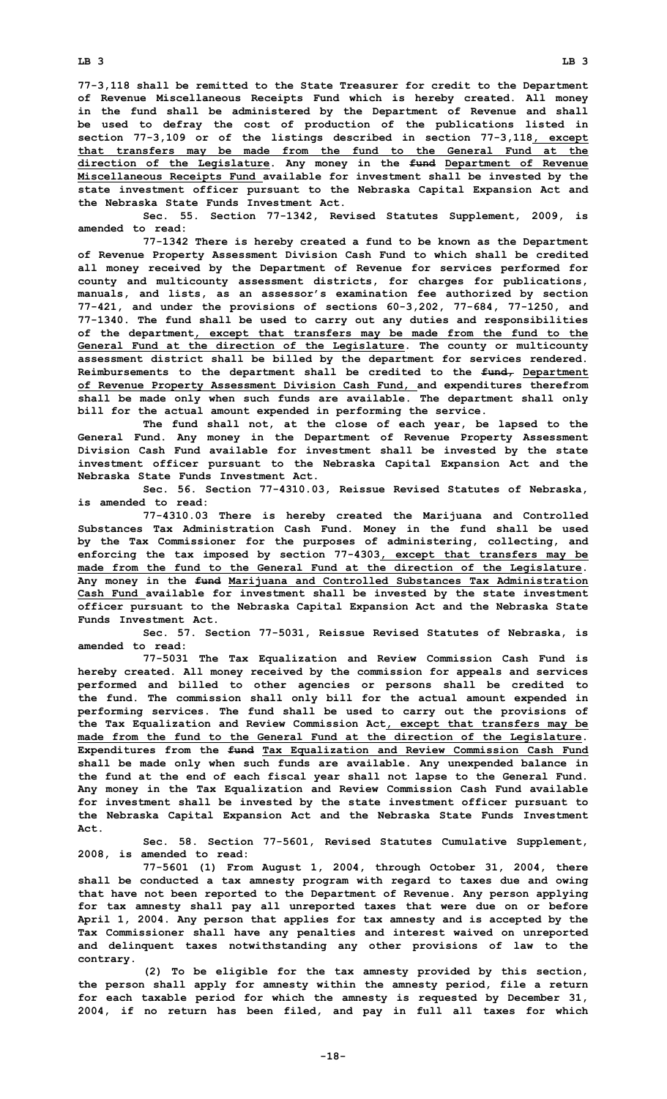**LB 3 LB 3**

**77-3,118 shall be remitted to the State Treasurer for credit to the Department of Revenue Miscellaneous Receipts Fund which is hereby created. All money in the fund shall be administered by the Department of Revenue and shall be used to defray the cost of production of the publications listed in section 77-3,109 or of the listings described in section 77-3,118, except that transfers may be made from the fund to the General Fund at the direction of the Legislature. Any money in the fund Department of Revenue Miscellaneous Receipts Fund available for investment shall be invested by the state investment officer pursuant to the Nebraska Capital Expansion Act and the Nebraska State Funds Investment Act.**

**Sec. 55. Section 77-1342, Revised Statutes Supplement, 2009, is amended to read:**

**77-1342 There is hereby created <sup>a</sup> fund to be known as the Department of Revenue Property Assessment Division Cash Fund to which shall be credited all money received by the Department of Revenue for services performed for county and multicounty assessment districts, for charges for publications, manuals, and lists, as an assessor's examination fee authorized by section 77-421, and under the provisions of sections 60-3,202, 77-684, 77-1250, and 77-1340. The fund shall be used to carry out any duties and responsibilities of the department, except that transfers may be made from the fund to the General Fund at the direction of the Legislature. The county or multicounty assessment district shall be billed by the department for services rendered. Reimbursements to the department shall be credited to the fund, Department of Revenue Property Assessment Division Cash Fund, and expenditures therefrom shall be made only when such funds are available. The department shall only bill for the actual amount expended in performing the service.**

**The fund shall not, at the close of each year, be lapsed to the General Fund. Any money in the Department of Revenue Property Assessment Division Cash Fund available for investment shall be invested by the state investment officer pursuant to the Nebraska Capital Expansion Act and the Nebraska State Funds Investment Act.**

**Sec. 56. Section 77-4310.03, Reissue Revised Statutes of Nebraska, is amended to read:**

**77-4310.03 There is hereby created the Marijuana and Controlled Substances Tax Administration Cash Fund. Money in the fund shall be used by the Tax Commissioner for the purposes of administering, collecting, and enforcing the tax imposed by section 77-4303, except that transfers may be made from the fund to the General Fund at the direction of the Legislature. Any money in the fund Marijuana and Controlled Substances Tax Administration Cash Fund available for investment shall be invested by the state investment officer pursuant to the Nebraska Capital Expansion Act and the Nebraska State Funds Investment Act.**

**Sec. 57. Section 77-5031, Reissue Revised Statutes of Nebraska, is amended to read:**

**77-5031 The Tax Equalization and Review Commission Cash Fund is hereby created. All money received by the commission for appeals and services performed and billed to other agencies or persons shall be credited to the fund. The commission shall only bill for the actual amount expended in performing services. The fund shall be used to carry out the provisions of the Tax Equalization and Review Commission Act, except that transfers may be made from the fund to the General Fund at the direction of the Legislature. Expenditures from the fund Tax Equalization and Review Commission Cash Fund shall be made only when such funds are available. Any unexpended balance in the fund at the end of each fiscal year shall not lapse to the General Fund. Any money in the Tax Equalization and Review Commission Cash Fund available for investment shall be invested by the state investment officer pursuant to the Nebraska Capital Expansion Act and the Nebraska State Funds Investment Act.**

**Sec. 58. Section 77-5601, Revised Statutes Cumulative Supplement, 2008, is amended to read:**

**77-5601 (1) From August 1, 2004, through October 31, 2004, there shall be conducted <sup>a</sup> tax amnesty program with regard to taxes due and owing that have not been reported to the Department of Revenue. Any person applying for tax amnesty shall pay all unreported taxes that were due on or before April 1, 2004. Any person that applies for tax amnesty and is accepted by the Tax Commissioner shall have any penalties and interest waived on unreported and delinquent taxes notwithstanding any other provisions of law to the contrary.**

**(2) To be eligible for the tax amnesty provided by this section, the person shall apply for amnesty within the amnesty period, file <sup>a</sup> return for each taxable period for which the amnesty is requested by December 31, 2004, if no return has been filed, and pay in full all taxes for which**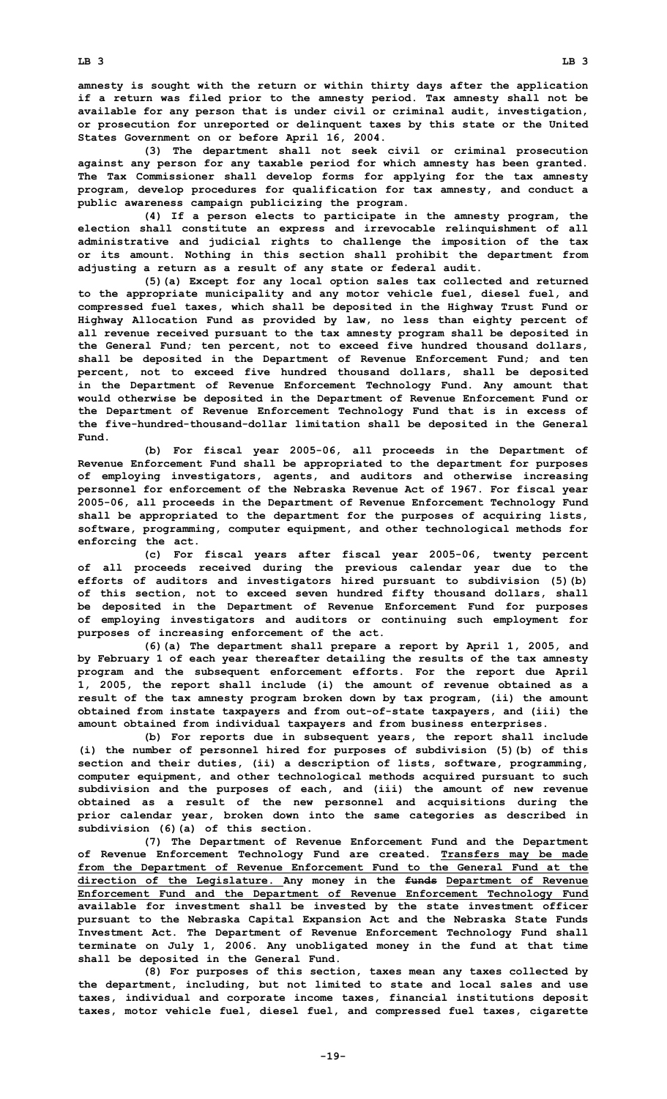**amnesty is sought with the return or within thirty days after the application if <sup>a</sup> return was filed prior to the amnesty period. Tax amnesty shall not be available for any person that is under civil or criminal audit, investigation, or prosecution for unreported or delinquent taxes by this state or the United States Government on or before April 16, 2004.**

**(3) The department shall not seek civil or criminal prosecution against any person for any taxable period for which amnesty has been granted. The Tax Commissioner shall develop forms for applying for the tax amnesty program, develop procedures for qualification for tax amnesty, and conduct <sup>a</sup> public awareness campaign publicizing the program.**

**(4) If <sup>a</sup> person elects to participate in the amnesty program, the election shall constitute an express and irrevocable relinquishment of all administrative and judicial rights to challenge the imposition of the tax or its amount. Nothing in this section shall prohibit the department from adjusting <sup>a</sup> return as <sup>a</sup> result of any state or federal audit.**

**(5)(a) Except for any local option sales tax collected and returned to the appropriate municipality and any motor vehicle fuel, diesel fuel, and compressed fuel taxes, which shall be deposited in the Highway Trust Fund or Highway Allocation Fund as provided by law, no less than eighty percent of all revenue received pursuant to the tax amnesty program shall be deposited in the General Fund; ten percent, not to exceed five hundred thousand dollars, shall be deposited in the Department of Revenue Enforcement Fund; and ten percent, not to exceed five hundred thousand dollars, shall be deposited in the Department of Revenue Enforcement Technology Fund. Any amount that would otherwise be deposited in the Department of Revenue Enforcement Fund or the Department of Revenue Enforcement Technology Fund that is in excess of the five-hundred-thousand-dollar limitation shall be deposited in the General Fund.**

**(b) For fiscal year 2005-06, all proceeds in the Department of Revenue Enforcement Fund shall be appropriated to the department for purposes of employing investigators, agents, and auditors and otherwise increasing personnel for enforcement of the Nebraska Revenue Act of 1967. For fiscal year 2005-06, all proceeds in the Department of Revenue Enforcement Technology Fund shall be appropriated to the department for the purposes of acquiring lists, software, programming, computer equipment, and other technological methods for enforcing the act.**

**(c) For fiscal years after fiscal year 2005-06, twenty percent of all proceeds received during the previous calendar year due to the efforts of auditors and investigators hired pursuant to subdivision (5)(b) of this section, not to exceed seven hundred fifty thousand dollars, shall be deposited in the Department of Revenue Enforcement Fund for purposes of employing investigators and auditors or continuing such employment for purposes of increasing enforcement of the act.**

**(6)(a) The department shall prepare <sup>a</sup> report by April 1, 2005, and by February 1 of each year thereafter detailing the results of the tax amnesty program and the subsequent enforcement efforts. For the report due April 1, 2005, the report shall include (i) the amount of revenue obtained as <sup>a</sup> result of the tax amnesty program broken down by tax program, (ii) the amount obtained from instate taxpayers and from out-of-state taxpayers, and (iii) the amount obtained from individual taxpayers and from business enterprises.**

**(b) For reports due in subsequent years, the report shall include (i) the number of personnel hired for purposes of subdivision (5)(b) of this section and their duties, (ii) <sup>a</sup> description of lists, software, programming, computer equipment, and other technological methods acquired pursuant to such subdivision and the purposes of each, and (iii) the amount of new revenue obtained as <sup>a</sup> result of the new personnel and acquisitions during the prior calendar year, broken down into the same categories as described in subdivision (6)(a) of this section.**

**(7) The Department of Revenue Enforcement Fund and the Department of Revenue Enforcement Technology Fund are created. Transfers may be made from the Department of Revenue Enforcement Fund to the General Fund at the direction of the Legislature. Any money in the funds Department of Revenue Enforcement Fund and the Department of Revenue Enforcement Technology Fund available for investment shall be invested by the state investment officer pursuant to the Nebraska Capital Expansion Act and the Nebraska State Funds Investment Act. The Department of Revenue Enforcement Technology Fund shall terminate on July 1, 2006. Any unobligated money in the fund at that time shall be deposited in the General Fund.**

**(8) For purposes of this section, taxes mean any taxes collected by the department, including, but not limited to state and local sales and use taxes, individual and corporate income taxes, financial institutions deposit taxes, motor vehicle fuel, diesel fuel, and compressed fuel taxes, cigarette**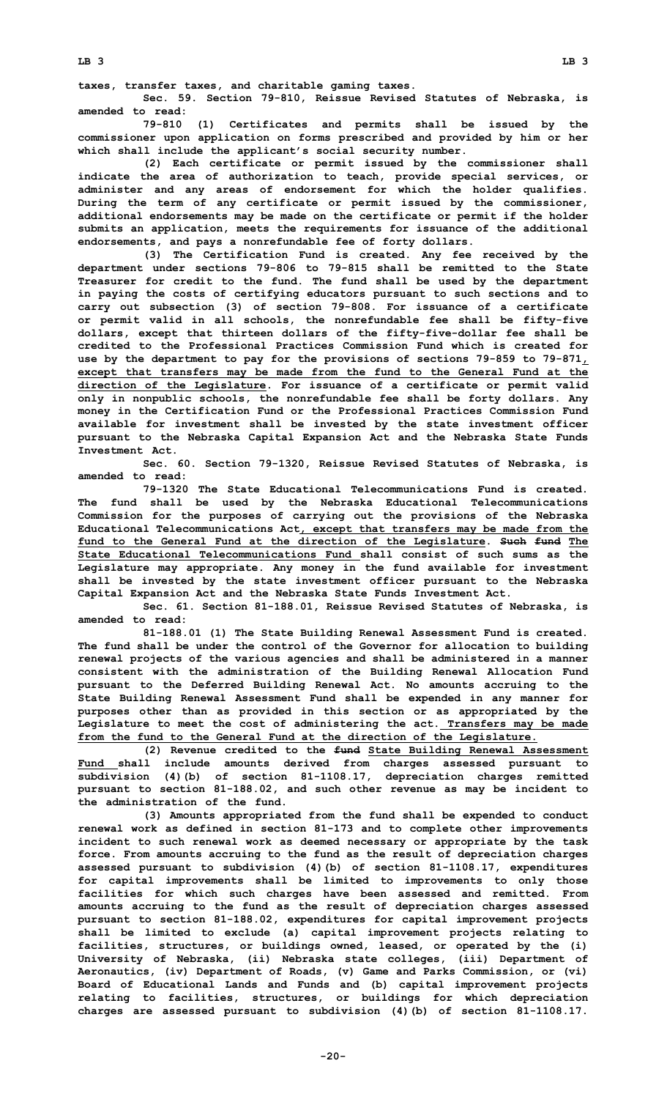**taxes, transfer taxes, and charitable gaming taxes.**

**Sec. 59. Section 79-810, Reissue Revised Statutes of Nebraska, is amended to read:**

**79-810 (1) Certificates and permits shall be issued by the commissioner upon application on forms prescribed and provided by him or her which shall include the applicant's social security number.**

**(2) Each certificate or permit issued by the commissioner shall indicate the area of authorization to teach, provide special services, or administer and any areas of endorsement for which the holder qualifies. During the term of any certificate or permit issued by the commissioner, additional endorsements may be made on the certificate or permit if the holder submits an application, meets the requirements for issuance of the additional endorsements, and pays <sup>a</sup> nonrefundable fee of forty dollars.**

**(3) The Certification Fund is created. Any fee received by the department under sections 79-806 to 79-815 shall be remitted to the State Treasurer for credit to the fund. The fund shall be used by the department in paying the costs of certifying educators pursuant to such sections and to carry out subsection (3) of section 79-808. For issuance of <sup>a</sup> certificate or permit valid in all schools, the nonrefundable fee shall be fifty-five dollars, except that thirteen dollars of the fifty-five-dollar fee shall be credited to the Professional Practices Commission Fund which is created for use by the department to pay for the provisions of sections 79-859 to 79-871, except that transfers may be made from the fund to the General Fund at the direction of the Legislature. For issuance of <sup>a</sup> certificate or permit valid only in nonpublic schools, the nonrefundable fee shall be forty dollars. Any money in the Certification Fund or the Professional Practices Commission Fund available for investment shall be invested by the state investment officer pursuant to the Nebraska Capital Expansion Act and the Nebraska State Funds Investment Act.**

**Sec. 60. Section 79-1320, Reissue Revised Statutes of Nebraska, is amended to read:**

**79-1320 The State Educational Telecommunications Fund is created. The fund shall be used by the Nebraska Educational Telecommunications Commission for the purposes of carrying out the provisions of the Nebraska Educational Telecommunications Act, except that transfers may be made from the fund to the General Fund at the direction of the Legislature. Such fund The State Educational Telecommunications Fund shall consist of such sums as the Legislature may appropriate. Any money in the fund available for investment shall be invested by the state investment officer pursuant to the Nebraska Capital Expansion Act and the Nebraska State Funds Investment Act.**

**Sec. 61. Section 81-188.01, Reissue Revised Statutes of Nebraska, is amended to read:**

**81-188.01 (1) The State Building Renewal Assessment Fund is created. The fund shall be under the control of the Governor for allocation to building renewal projects of the various agencies and shall be administered in <sup>a</sup> manner consistent with the administration of the Building Renewal Allocation Fund pursuant to the Deferred Building Renewal Act. No amounts accruing to the State Building Renewal Assessment Fund shall be expended in any manner for purposes other than as provided in this section or as appropriated by the Legislature to meet the cost of administering the act. Transfers may be made from the fund to the General Fund at the direction of the Legislature.**

**(2) Revenue credited to the fund State Building Renewal Assessment Fund shall include amounts derived from charges assessed pursuant to subdivision (4)(b) of section 81-1108.17, depreciation charges remitted pursuant to section 81-188.02, and such other revenue as may be incident to the administration of the fund.**

**(3) Amounts appropriated from the fund shall be expended to conduct renewal work as defined in section 81-173 and to complete other improvements incident to such renewal work as deemed necessary or appropriate by the task force. From amounts accruing to the fund as the result of depreciation charges assessed pursuant to subdivision (4)(b) of section 81-1108.17, expenditures for capital improvements shall be limited to improvements to only those facilities for which such charges have been assessed and remitted. From amounts accruing to the fund as the result of depreciation charges assessed pursuant to section 81-188.02, expenditures for capital improvement projects shall be limited to exclude (a) capital improvement projects relating to facilities, structures, or buildings owned, leased, or operated by the (i) University of Nebraska, (ii) Nebraska state colleges, (iii) Department of Aeronautics, (iv) Department of Roads, (v) Game and Parks Commission, or (vi) Board of Educational Lands and Funds and (b) capital improvement projects relating to facilities, structures, or buildings for which depreciation charges are assessed pursuant to subdivision (4)(b) of section 81-1108.17.**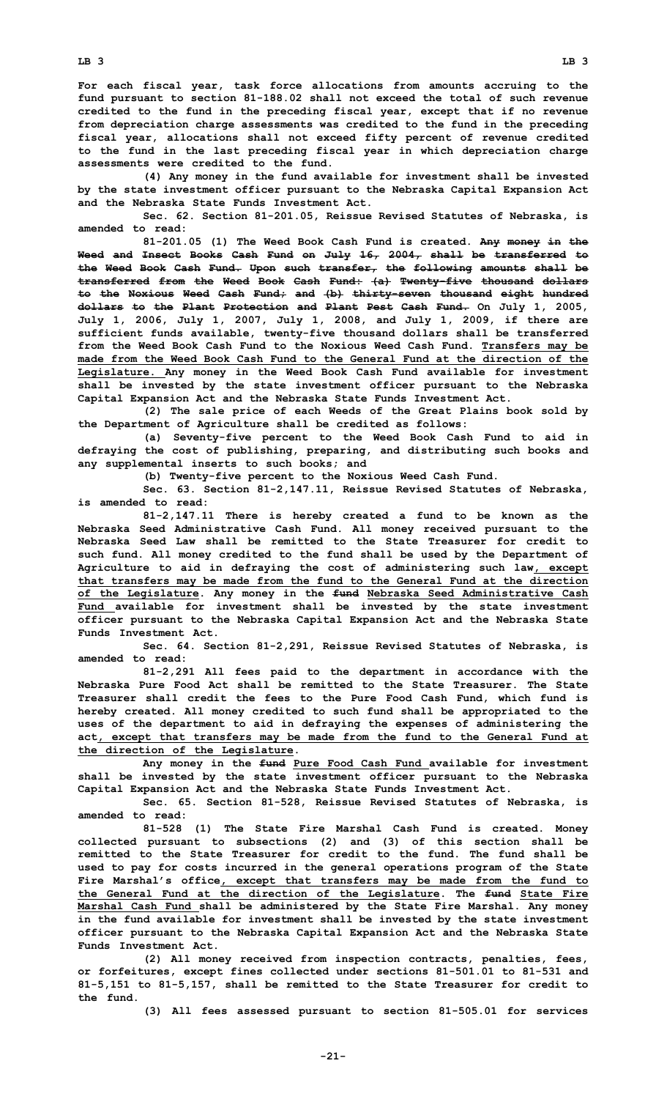**For each fiscal year, task force allocations from amounts accruing to the fund pursuant to section 81-188.02 shall not exceed the total of such revenue credited to the fund in the preceding fiscal year, except that if no revenue from depreciation charge assessments was credited to the fund in the preceding fiscal year, allocations shall not exceed fifty percent of revenue credited to the fund in the last preceding fiscal year in which depreciation charge assessments were credited to the fund.**

**(4) Any money in the fund available for investment shall be invested by the state investment officer pursuant to the Nebraska Capital Expansion Act and the Nebraska State Funds Investment Act.**

**Sec. 62. Section 81-201.05, Reissue Revised Statutes of Nebraska, is amended to read:**

**81-201.05 (1) The Weed Book Cash Fund is created. Any money in the Weed and Insect Books Cash Fund on July 16, 2004, shall be transferred to the Weed Book Cash Fund. Upon such transfer, the following amounts shall be transferred from the Weed Book Cash Fund: (a) Twenty-five thousand dollars to the Noxious Weed Cash Fund; and (b) thirty-seven thousand eight hundred dollars to the Plant Protection and Plant Pest Cash Fund. On July 1, 2005, July 1, 2006, July 1, 2007, July 1, 2008, and July 1, 2009, if there are sufficient funds available, twenty-five thousand dollars shall be transferred from the Weed Book Cash Fund to the Noxious Weed Cash Fund. Transfers may be made from the Weed Book Cash Fund to the General Fund at the direction of the Legislature. Any money in the Weed Book Cash Fund available for investment shall be invested by the state investment officer pursuant to the Nebraska Capital Expansion Act and the Nebraska State Funds Investment Act.**

**(2) The sale price of each Weeds of the Great Plains book sold by the Department of Agriculture shall be credited as follows:**

**(a) Seventy-five percent to the Weed Book Cash Fund to aid in defraying the cost of publishing, preparing, and distributing such books and any supplemental inserts to such books; and**

**(b) Twenty-five percent to the Noxious Weed Cash Fund.**

**Sec. 63. Section 81-2,147.11, Reissue Revised Statutes of Nebraska, is amended to read:**

**81-2,147.11 There is hereby created <sup>a</sup> fund to be known as the Nebraska Seed Administrative Cash Fund. All money received pursuant to the Nebraska Seed Law shall be remitted to the State Treasurer for credit to such fund. All money credited to the fund shall be used by the Department of Agriculture to aid in defraying the cost of administering such law, except that transfers may be made from the fund to the General Fund at the direction of the Legislature. Any money in the fund Nebraska Seed Administrative Cash Fund available for investment shall be invested by the state investment officer pursuant to the Nebraska Capital Expansion Act and the Nebraska State Funds Investment Act.**

**Sec. 64. Section 81-2,291, Reissue Revised Statutes of Nebraska, is amended to read:**

**81-2,291 All fees paid to the department in accordance with the Nebraska Pure Food Act shall be remitted to the State Treasurer. The State Treasurer shall credit the fees to the Pure Food Cash Fund, which fund is hereby created. All money credited to such fund shall be appropriated to the uses of the department to aid in defraying the expenses of administering the act, except that transfers may be made from the fund to the General Fund at the direction of the Legislature.**

**Any money in the fund Pure Food Cash Fund available for investment shall be invested by the state investment officer pursuant to the Nebraska Capital Expansion Act and the Nebraska State Funds Investment Act.**

**Sec. 65. Section 81-528, Reissue Revised Statutes of Nebraska, is amended to read:**

**81-528 (1) The State Fire Marshal Cash Fund is created. Money collected pursuant to subsections (2) and (3) of this section shall be remitted to the State Treasurer for credit to the fund. The fund shall be used to pay for costs incurred in the general operations program of the State Fire Marshal's office, except that transfers may be made from the fund to the General Fund at the direction of the Legislature. The fund State Fire Marshal Cash Fund shall be administered by the State Fire Marshal. Any money in the fund available for investment shall be invested by the state investment officer pursuant to the Nebraska Capital Expansion Act and the Nebraska State Funds Investment Act.**

**(2) All money received from inspection contracts, penalties, fees, or forfeitures, except fines collected under sections 81-501.01 to 81-531 and 81-5,151 to 81-5,157, shall be remitted to the State Treasurer for credit to the fund.**

**(3) All fees assessed pursuant to section 81-505.01 for services**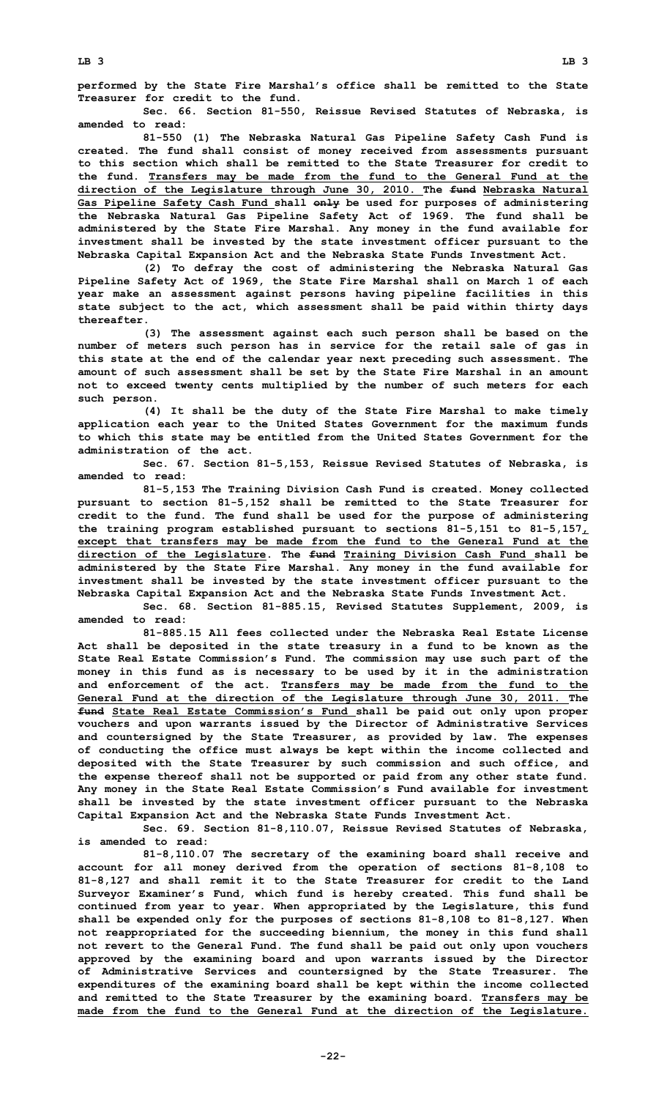**performed by the State Fire Marshal's office shall be remitted to the State Treasurer for credit to the fund.**

**Sec. 66. Section 81-550, Reissue Revised Statutes of Nebraska, is amended to read:**

**81-550 (1) The Nebraska Natural Gas Pipeline Safety Cash Fund is created. The fund shall consist of money received from assessments pursuant to this section which shall be remitted to the State Treasurer for credit to the fund. Transfers may be made from the fund to the General Fund at the direction of the Legislature through June 30, 2010. The fund Nebraska Natural Gas Pipeline Safety Cash Fund shall only be used for purposes of administering the Nebraska Natural Gas Pipeline Safety Act of 1969. The fund shall be administered by the State Fire Marshal. Any money in the fund available for investment shall be invested by the state investment officer pursuant to the Nebraska Capital Expansion Act and the Nebraska State Funds Investment Act.**

**(2) To defray the cost of administering the Nebraska Natural Gas Pipeline Safety Act of 1969, the State Fire Marshal shall on March 1 of each year make an assessment against persons having pipeline facilities in this state subject to the act, which assessment shall be paid within thirty days thereafter.**

**(3) The assessment against each such person shall be based on the number of meters such person has in service for the retail sale of gas in this state at the end of the calendar year next preceding such assessment. The amount of such assessment shall be set by the State Fire Marshal in an amount not to exceed twenty cents multiplied by the number of such meters for each such person.**

**(4) It shall be the duty of the State Fire Marshal to make timely application each year to the United States Government for the maximum funds to which this state may be entitled from the United States Government for the administration of the act.**

**Sec. 67. Section 81-5,153, Reissue Revised Statutes of Nebraska, is amended to read:**

**81-5,153 The Training Division Cash Fund is created. Money collected pursuant to section 81-5,152 shall be remitted to the State Treasurer for credit to the fund. The fund shall be used for the purpose of administering the training program established pursuant to sections 81-5,151 to 81-5,157, except that transfers may be made from the fund to the General Fund at the direction of the Legislature. The fund Training Division Cash Fund shall be administered by the State Fire Marshal. Any money in the fund available for investment shall be invested by the state investment officer pursuant to the Nebraska Capital Expansion Act and the Nebraska State Funds Investment Act.**

**Sec. 68. Section 81-885.15, Revised Statutes Supplement, 2009, is amended to read:**

**81-885.15 All fees collected under the Nebraska Real Estate License Act shall be deposited in the state treasury in <sup>a</sup> fund to be known as the State Real Estate Commission's Fund. The commission may use such part of the money in this fund as is necessary to be used by it in the administration and enforcement of the act. Transfers may be made from the fund to the General Fund at the direction of the Legislature through June 30, 2011. The fund State Real Estate Commission's Fund shall be paid out only upon proper vouchers and upon warrants issued by the Director of Administrative Services and countersigned by the State Treasurer, as provided by law. The expenses of conducting the office must always be kept within the income collected and deposited with the State Treasurer by such commission and such office, and the expense thereof shall not be supported or paid from any other state fund. Any money in the State Real Estate Commission's Fund available for investment shall be invested by the state investment officer pursuant to the Nebraska Capital Expansion Act and the Nebraska State Funds Investment Act.**

**Sec. 69. Section 81-8,110.07, Reissue Revised Statutes of Nebraska, is amended to read:**

**81-8,110.07 The secretary of the examining board shall receive and account for all money derived from the operation of sections 81-8,108 to 81-8,127 and shall remit it to the State Treasurer for credit to the Land Surveyor Examiner's Fund, which fund is hereby created. This fund shall be continued from year to year. When appropriated by the Legislature, this fund shall be expended only for the purposes of sections 81-8,108 to 81-8,127. When not reappropriated for the succeeding biennium, the money in this fund shall not revert to the General Fund. The fund shall be paid out only upon vouchers approved by the examining board and upon warrants issued by the Director of Administrative Services and countersigned by the State Treasurer. The expenditures of the examining board shall be kept within the income collected and remitted to the State Treasurer by the examining board. Transfers may be made from the fund to the General Fund at the direction of the Legislature.**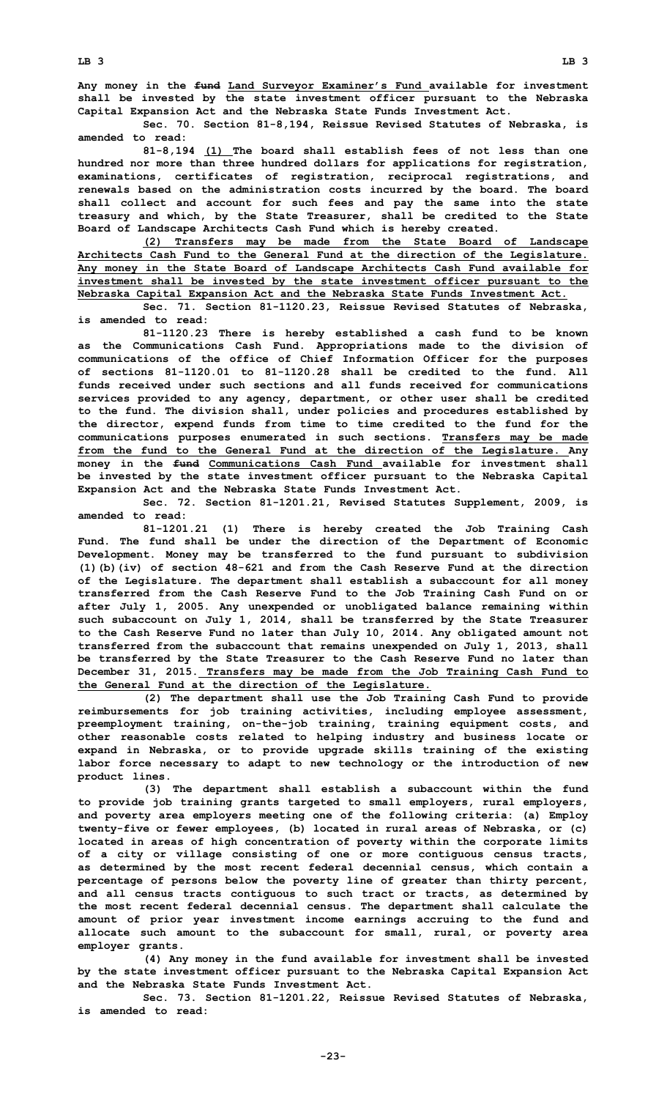**Any money in the fund Land Surveyor Examiner's Fund available for investment shall be invested by the state investment officer pursuant to the Nebraska Capital Expansion Act and the Nebraska State Funds Investment Act.**

**Sec. 70. Section 81-8,194, Reissue Revised Statutes of Nebraska, is amended to read:**

**81-8,194 (1) The board shall establish fees of not less than one hundred nor more than three hundred dollars for applications for registration, examinations, certificates of registration, reciprocal registrations, and renewals based on the administration costs incurred by the board. The board shall collect and account for such fees and pay the same into the state treasury and which, by the State Treasurer, shall be credited to the State Board of Landscape Architects Cash Fund which is hereby created.**

**(2) Transfers may be made from the State Board of Landscape Architects Cash Fund to the General Fund at the direction of the Legislature. Any money in the State Board of Landscape Architects Cash Fund available for investment shall be invested by the state investment officer pursuant to the Nebraska Capital Expansion Act and the Nebraska State Funds Investment Act.**

**Sec. 71. Section 81-1120.23, Reissue Revised Statutes of Nebraska, is amended to read:**

**81-1120.23 There is hereby established <sup>a</sup> cash fund to be known as the Communications Cash Fund. Appropriations made to the division of communications of the office of Chief Information Officer for the purposes of sections 81-1120.01 to 81-1120.28 shall be credited to the fund. All funds received under such sections and all funds received for communications services provided to any agency, department, or other user shall be credited to the fund. The division shall, under policies and procedures established by the director, expend funds from time to time credited to the fund for the communications purposes enumerated in such sections. Transfers may be made from the fund to the General Fund at the direction of the Legislature. Any money in the fund Communications Cash Fund available for investment shall be invested by the state investment officer pursuant to the Nebraska Capital Expansion Act and the Nebraska State Funds Investment Act.**

**Sec. 72. Section 81-1201.21, Revised Statutes Supplement, 2009, is amended to read:**

**81-1201.21 (1) There is hereby created the Job Training Cash Fund. The fund shall be under the direction of the Department of Economic Development. Money may be transferred to the fund pursuant to subdivision (1)(b)(iv) of section 48-621 and from the Cash Reserve Fund at the direction of the Legislature. The department shall establish <sup>a</sup> subaccount for all money transferred from the Cash Reserve Fund to the Job Training Cash Fund on or after July 1, 2005. Any unexpended or unobligated balance remaining within such subaccount on July 1, 2014, shall be transferred by the State Treasurer to the Cash Reserve Fund no later than July 10, 2014. Any obligated amount not transferred from the subaccount that remains unexpended on July 1, 2013, shall be transferred by the State Treasurer to the Cash Reserve Fund no later than December 31, 2015. Transfers may be made from the Job Training Cash Fund to the General Fund at the direction of the Legislature.**

**(2) The department shall use the Job Training Cash Fund to provide reimbursements for job training activities, including employee assessment, preemployment training, on-the-job training, training equipment costs, and other reasonable costs related to helping industry and business locate or expand in Nebraska, or to provide upgrade skills training of the existing labor force necessary to adapt to new technology or the introduction of new product lines.**

**(3) The department shall establish <sup>a</sup> subaccount within the fund to provide job training grants targeted to small employers, rural employers, and poverty area employers meeting one of the following criteria: (a) Employ twenty-five or fewer employees, (b) located in rural areas of Nebraska, or (c) located in areas of high concentration of poverty within the corporate limits of <sup>a</sup> city or village consisting of one or more contiguous census tracts, as determined by the most recent federal decennial census, which contain <sup>a</sup> percentage of persons below the poverty line of greater than thirty percent, and all census tracts contiguous to such tract or tracts, as determined by the most recent federal decennial census. The department shall calculate the amount of prior year investment income earnings accruing to the fund and allocate such amount to the subaccount for small, rural, or poverty area employer grants.**

**(4) Any money in the fund available for investment shall be invested by the state investment officer pursuant to the Nebraska Capital Expansion Act and the Nebraska State Funds Investment Act.**

**Sec. 73. Section 81-1201.22, Reissue Revised Statutes of Nebraska, is amended to read:**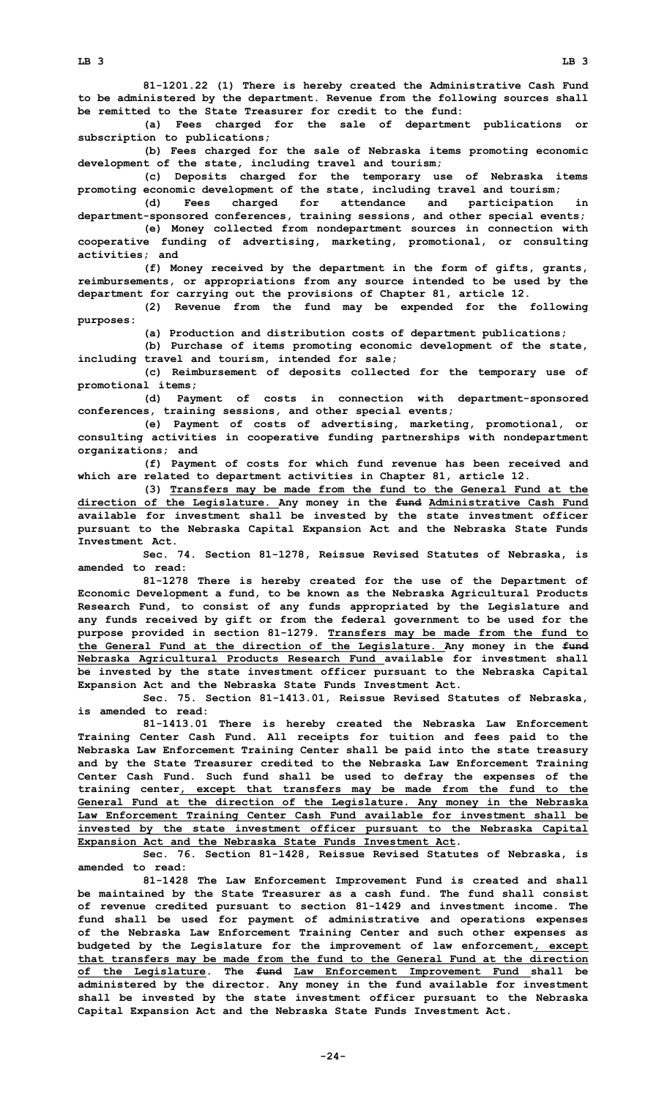**81-1201.22 (1) There is hereby created the Administrative Cash Fund to be administered by the department. Revenue from the following sources shall be remitted to the State Treasurer for credit to the fund:**

**(a) Fees charged for the sale of department publications or subscription to publications;**

**(b) Fees charged for the sale of Nebraska items promoting economic development of the state, including travel and tourism;**

**(c) Deposits charged for the temporary use of Nebraska items promoting economic development of the state, including travel and tourism;**

**(d) Fees charged for attendance and participation in department-sponsored conferences, training sessions, and other special events;**

**(e) Money collected from nondepartment sources in connection with cooperative funding of advertising, marketing, promotional, or consulting activities; and**

**(f) Money received by the department in the form of gifts, grants, reimbursements, or appropriations from any source intended to be used by the department for carrying out the provisions of Chapter 81, article 12.**

**(2) Revenue from the fund may be expended for the following purposes:**

**(a) Production and distribution costs of department publications;**

**(b) Purchase of items promoting economic development of the state, including travel and tourism, intended for sale;**

**(c) Reimbursement of deposits collected for the temporary use of promotional items;**

**(d) Payment of costs in connection with department-sponsored conferences, training sessions, and other special events;**

**(e) Payment of costs of advertising, marketing, promotional, or consulting activities in cooperative funding partnerships with nondepartment organizations; and**

**(f) Payment of costs for which fund revenue has been received and which are related to department activities in Chapter 81, article 12.**

**(3) Transfers may be made from the fund to the General Fund at the direction of the Legislature. Any money in the fund Administrative Cash Fund available for investment shall be invested by the state investment officer pursuant to the Nebraska Capital Expansion Act and the Nebraska State Funds Investment Act.**

**Sec. 74. Section 81-1278, Reissue Revised Statutes of Nebraska, is amended to read:**

**81-1278 There is hereby created for the use of the Department of Economic Development <sup>a</sup> fund, to be known as the Nebraska Agricultural Products Research Fund, to consist of any funds appropriated by the Legislature and any funds received by gift or from the federal government to be used for the purpose provided in section 81-1279. Transfers may be made from the fund to the General Fund at the direction of the Legislature. Any money in the fund Nebraska Agricultural Products Research Fund available for investment shall be invested by the state investment officer pursuant to the Nebraska Capital Expansion Act and the Nebraska State Funds Investment Act.**

**Sec. 75. Section 81-1413.01, Reissue Revised Statutes of Nebraska, is amended to read:**

**81-1413.01 There is hereby created the Nebraska Law Enforcement Training Center Cash Fund. All receipts for tuition and fees paid to the Nebraska Law Enforcement Training Center shall be paid into the state treasury and by the State Treasurer credited to the Nebraska Law Enforcement Training Center Cash Fund. Such fund shall be used to defray the expenses of the training center, except that transfers may be made from the fund to the General Fund at the direction of the Legislature. Any money in the Nebraska Law Enforcement Training Center Cash Fund available for investment shall be invested by the state investment officer pursuant to the Nebraska Capital Expansion Act and the Nebraska State Funds Investment Act.**

**Sec. 76. Section 81-1428, Reissue Revised Statutes of Nebraska, is amended to read:**

**81-1428 The Law Enforcement Improvement Fund is created and shall be maintained by the State Treasurer as <sup>a</sup> cash fund. The fund shall consist of revenue credited pursuant to section 81-1429 and investment income. The fund shall be used for payment of administrative and operations expenses of the Nebraska Law Enforcement Training Center and such other expenses as budgeted by the Legislature for the improvement of law enforcement, except that transfers may be made from the fund to the General Fund at the direction of the Legislature. The fund Law Enforcement Improvement Fund shall be administered by the director. Any money in the fund available for investment shall be invested by the state investment officer pursuant to the Nebraska Capital Expansion Act and the Nebraska State Funds Investment Act.**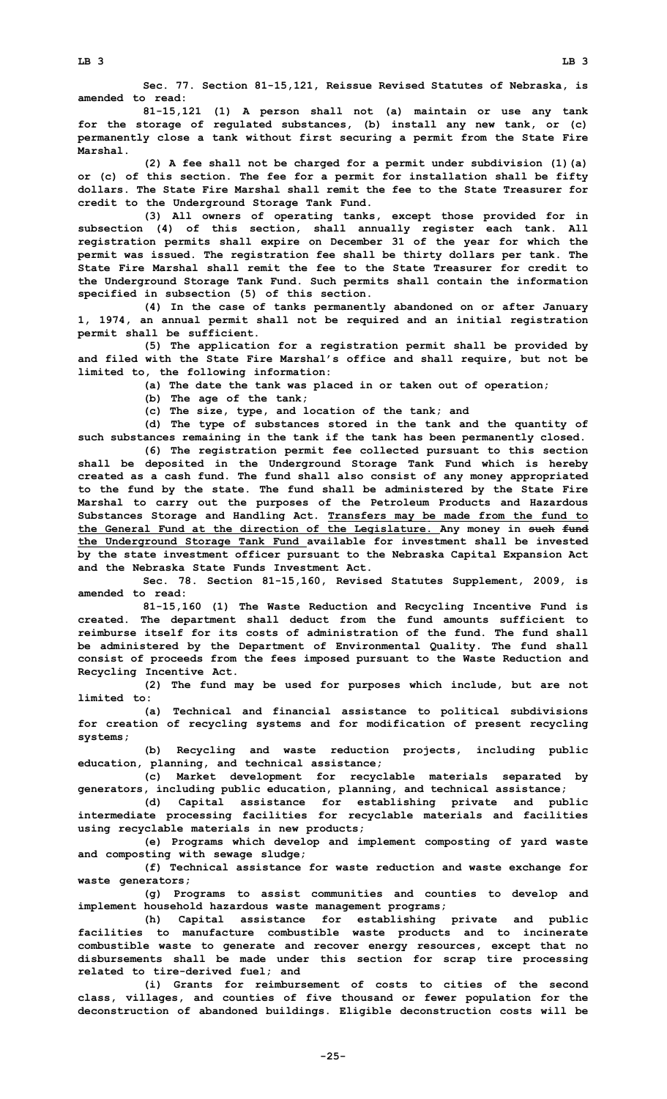**Sec. 77. Section 81-15,121, Reissue Revised Statutes of Nebraska, is amended to read:**

**81-15,121 (1) <sup>A</sup> person shall not (a) maintain or use any tank for the storage of regulated substances, (b) install any new tank, or (c) permanently close <sup>a</sup> tank without first securing <sup>a</sup> permit from the State Fire Marshal.**

**(2) <sup>A</sup> fee shall not be charged for <sup>a</sup> permit under subdivision (1)(a) or (c) of this section. The fee for <sup>a</sup> permit for installation shall be fifty dollars. The State Fire Marshal shall remit the fee to the State Treasurer for credit to the Underground Storage Tank Fund.**

**(3) All owners of operating tanks, except those provided for in subsection (4) of this section, shall annually register each tank. All registration permits shall expire on December 31 of the year for which the permit was issued. The registration fee shall be thirty dollars per tank. The State Fire Marshal shall remit the fee to the State Treasurer for credit to the Underground Storage Tank Fund. Such permits shall contain the information specified in subsection (5) of this section.**

**(4) In the case of tanks permanently abandoned on or after January 1, 1974, an annual permit shall not be required and an initial registration permit shall be sufficient.**

**(5) The application for <sup>a</sup> registration permit shall be provided by and filed with the State Fire Marshal's office and shall require, but not be limited to, the following information:**

**(a) The date the tank was placed in or taken out of operation;**

**(b) The age of the tank;**

**(c) The size, type, and location of the tank; and**

**(d) The type of substances stored in the tank and the quantity of such substances remaining in the tank if the tank has been permanently closed.**

**(6) The registration permit fee collected pursuant to this section shall be deposited in the Underground Storage Tank Fund which is hereby created as <sup>a</sup> cash fund. The fund shall also consist of any money appropriated to the fund by the state. The fund shall be administered by the State Fire Marshal to carry out the purposes of the Petroleum Products and Hazardous Substances Storage and Handling Act. Transfers may be made from the fund to the General Fund at the direction of the Legislature. Any money in such fund the Underground Storage Tank Fund available for investment shall be invested by the state investment officer pursuant to the Nebraska Capital Expansion Act and the Nebraska State Funds Investment Act.**

**Sec. 78. Section 81-15,160, Revised Statutes Supplement, 2009, is amended to read:**

**81-15,160 (1) The Waste Reduction and Recycling Incentive Fund is created. The department shall deduct from the fund amounts sufficient to reimburse itself for its costs of administration of the fund. The fund shall be administered by the Department of Environmental Quality. The fund shall consist of proceeds from the fees imposed pursuant to the Waste Reduction and Recycling Incentive Act.**

**(2) The fund may be used for purposes which include, but are not limited to:**

**(a) Technical and financial assistance to political subdivisions for creation of recycling systems and for modification of present recycling systems;**

**(b) Recycling and waste reduction projects, including public education, planning, and technical assistance;**

**(c) Market development for recyclable materials separated by generators, including public education, planning, and technical assistance;**

**(d) Capital assistance for establishing private and public intermediate processing facilities for recyclable materials and facilities using recyclable materials in new products;**

**(e) Programs which develop and implement composting of yard waste and composting with sewage sludge;**

**(f) Technical assistance for waste reduction and waste exchange for waste generators;**

**(g) Programs to assist communities and counties to develop and implement household hazardous waste management programs;**

**(h) Capital assistance for establishing private and public facilities to manufacture combustible waste products and to incinerate combustible waste to generate and recover energy resources, except that no disbursements shall be made under this section for scrap tire processing related to tire-derived fuel; and**

**(i) Grants for reimbursement of costs to cities of the second class, villages, and counties of five thousand or fewer population for the deconstruction of abandoned buildings. Eligible deconstruction costs will be**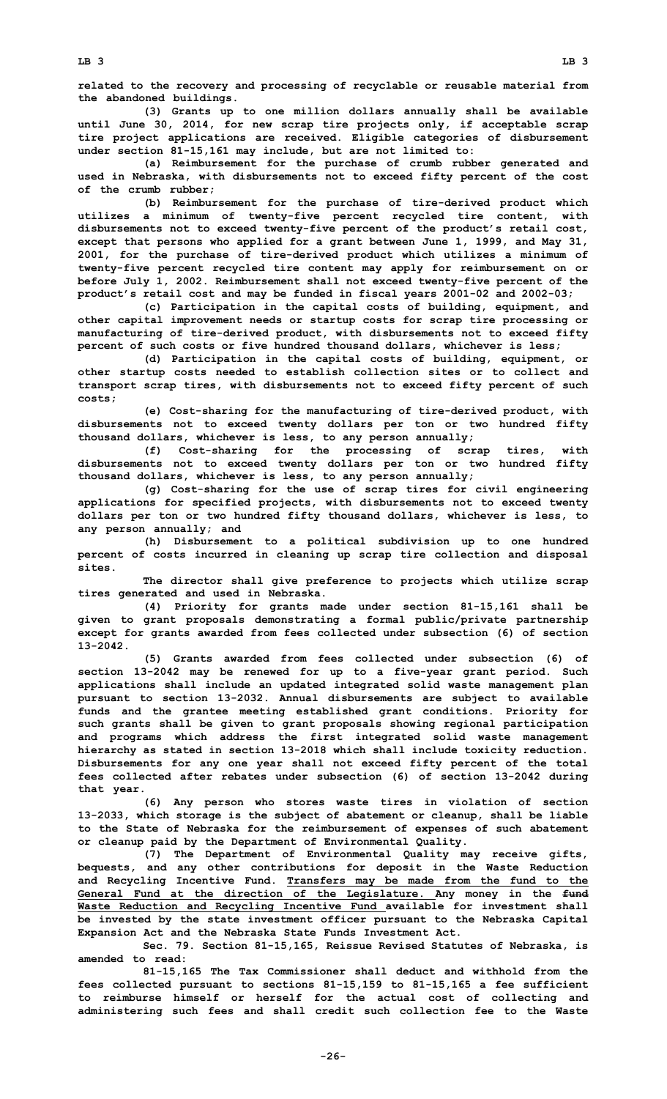**related to the recovery and processing of recyclable or reusable material from the abandoned buildings.**

**(3) Grants up to one million dollars annually shall be available until June 30, 2014, for new scrap tire projects only, if acceptable scrap tire project applications are received. Eligible categories of disbursement under section 81-15,161 may include, but are not limited to:**

**(a) Reimbursement for the purchase of crumb rubber generated and used in Nebraska, with disbursements not to exceed fifty percent of the cost of the crumb rubber;**

**(b) Reimbursement for the purchase of tire-derived product which utilizes <sup>a</sup> minimum of twenty-five percent recycled tire content, with disbursements not to exceed twenty-five percent of the product's retail cost, except that persons who applied for <sup>a</sup> grant between June 1, 1999, and May 31, 2001, for the purchase of tire-derived product which utilizes <sup>a</sup> minimum of twenty-five percent recycled tire content may apply for reimbursement on or before July 1, 2002. Reimbursement shall not exceed twenty-five percent of the product's retail cost and may be funded in fiscal years 2001-02 and 2002-03;**

**(c) Participation in the capital costs of building, equipment, and other capital improvement needs or startup costs for scrap tire processing or manufacturing of tire-derived product, with disbursements not to exceed fifty percent of such costs or five hundred thousand dollars, whichever is less;**

**(d) Participation in the capital costs of building, equipment, or other startup costs needed to establish collection sites or to collect and transport scrap tires, with disbursements not to exceed fifty percent of such costs;**

**(e) Cost-sharing for the manufacturing of tire-derived product, with disbursements not to exceed twenty dollars per ton or two hundred fifty thousand dollars, whichever is less, to any person annually;**

**(f) Cost-sharing for the processing of scrap tires, with disbursements not to exceed twenty dollars per ton or two hundred fifty thousand dollars, whichever is less, to any person annually;**

**(g) Cost-sharing for the use of scrap tires for civil engineering applications for specified projects, with disbursements not to exceed twenty dollars per ton or two hundred fifty thousand dollars, whichever is less, to any person annually; and**

**(h) Disbursement to <sup>a</sup> political subdivision up to one hundred percent of costs incurred in cleaning up scrap tire collection and disposal sites.**

**The director shall give preference to projects which utilize scrap tires generated and used in Nebraska.**

**(4) Priority for grants made under section 81-15,161 shall be given to grant proposals demonstrating <sup>a</sup> formal public/private partnership except for grants awarded from fees collected under subsection (6) of section 13-2042.**

**(5) Grants awarded from fees collected under subsection (6) of section 13-2042 may be renewed for up to <sup>a</sup> five-year grant period. Such applications shall include an updated integrated solid waste management plan pursuant to section 13-2032. Annual disbursements are subject to available funds and the grantee meeting established grant conditions. Priority for such grants shall be given to grant proposals showing regional participation and programs which address the first integrated solid waste management hierarchy as stated in section 13-2018 which shall include toxicity reduction. Disbursements for any one year shall not exceed fifty percent of the total fees collected after rebates under subsection (6) of section 13-2042 during that year.**

**(6) Any person who stores waste tires in violation of section 13-2033, which storage is the subject of abatement or cleanup, shall be liable to the State of Nebraska for the reimbursement of expenses of such abatement or cleanup paid by the Department of Environmental Quality.**

**(7) The Department of Environmental Quality may receive gifts, bequests, and any other contributions for deposit in the Waste Reduction and Recycling Incentive Fund. Transfers may be made from the fund to the General Fund at the direction of the Legislature. Any money in the fund Waste Reduction and Recycling Incentive Fund available for investment shall be invested by the state investment officer pursuant to the Nebraska Capital Expansion Act and the Nebraska State Funds Investment Act.**

**Sec. 79. Section 81-15,165, Reissue Revised Statutes of Nebraska, is amended to read:**

**81-15,165 The Tax Commissioner shall deduct and withhold from the fees collected pursuant to sections 81-15,159 to 81-15,165 <sup>a</sup> fee sufficient to reimburse himself or herself for the actual cost of collecting and administering such fees and shall credit such collection fee to the Waste**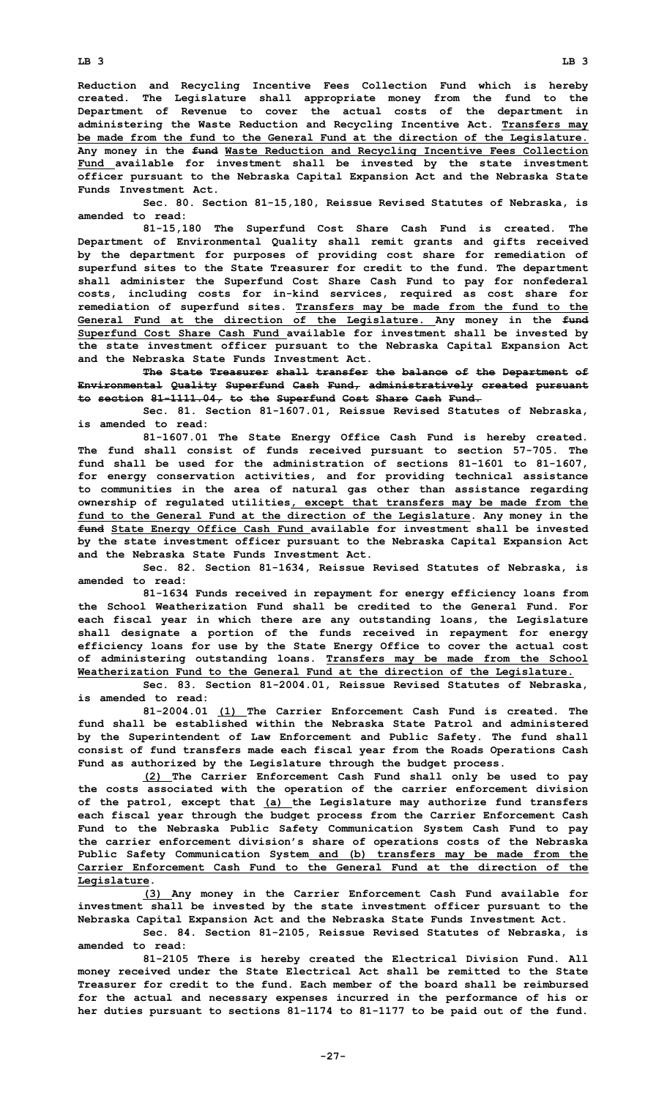**Reduction and Recycling Incentive Fees Collection Fund which is hereby created. The Legislature shall appropriate money from the fund to the Department of Revenue to cover the actual costs of the department in administering the Waste Reduction and Recycling Incentive Act. Transfers may be made from the fund to the General Fund at the direction of the Legislature. Any money in the fund Waste Reduction and Recycling Incentive Fees Collection Fund available for investment shall be invested by the state investment officer pursuant to the Nebraska Capital Expansion Act and the Nebraska State Funds Investment Act.**

**Sec. 80. Section 81-15,180, Reissue Revised Statutes of Nebraska, is amended to read:**

**81-15,180 The Superfund Cost Share Cash Fund is created. The Department of Environmental Quality shall remit grants and gifts received by the department for purposes of providing cost share for remediation of superfund sites to the State Treasurer for credit to the fund. The department shall administer the Superfund Cost Share Cash Fund to pay for nonfederal costs, including costs for in-kind services, required as cost share for remediation of superfund sites. Transfers may be made from the fund to the General Fund at the direction of the Legislature. Any money in the fund Superfund Cost Share Cash Fund available for investment shall be invested by the state investment officer pursuant to the Nebraska Capital Expansion Act and the Nebraska State Funds Investment Act.**

**The State Treasurer shall transfer the balance of the Department of Environmental Quality Superfund Cash Fund, administratively created pursuant to section 81-1111.04, to the Superfund Cost Share Cash Fund.**

**Sec. 81. Section 81-1607.01, Reissue Revised Statutes of Nebraska, is amended to read:**

**81-1607.01 The State Energy Office Cash Fund is hereby created. The fund shall consist of funds received pursuant to section 57-705. The fund shall be used for the administration of sections 81-1601 to 81-1607, for energy conservation activities, and for providing technical assistance to communities in the area of natural gas other than assistance regarding ownership of regulated utilities, except that transfers may be made from the fund to the General Fund at the direction of the Legislature. Any money in the fund State Energy Office Cash Fund available for investment shall be invested by the state investment officer pursuant to the Nebraska Capital Expansion Act and the Nebraska State Funds Investment Act.**

**Sec. 82. Section 81-1634, Reissue Revised Statutes of Nebraska, is amended to read:**

**81-1634 Funds received in repayment for energy efficiency loans from the School Weatherization Fund shall be credited to the General Fund. For each fiscal year in which there are any outstanding loans, the Legislature shall designate <sup>a</sup> portion of the funds received in repayment for energy efficiency loans for use by the State Energy Office to cover the actual cost of administering outstanding loans. Transfers may be made from the School Weatherization Fund to the General Fund at the direction of the Legislature.**

**Sec. 83. Section 81-2004.01, Reissue Revised Statutes of Nebraska, is amended to read:**

**81-2004.01 (1) The Carrier Enforcement Cash Fund is created. The fund shall be established within the Nebraska State Patrol and administered by the Superintendent of Law Enforcement and Public Safety. The fund shall consist of fund transfers made each fiscal year from the Roads Operations Cash Fund as authorized by the Legislature through the budget process.**

**(2) The Carrier Enforcement Cash Fund shall only be used to pay the costs associated with the operation of the carrier enforcement division of the patrol, except that (a) the Legislature may authorize fund transfers each fiscal year through the budget process from the Carrier Enforcement Cash Fund to the Nebraska Public Safety Communication System Cash Fund to pay the carrier enforcement division's share of operations costs of the Nebraska Public Safety Communication System and (b) transfers may be made from the Carrier Enforcement Cash Fund to the General Fund at the direction of the Legislature.**

**(3) Any money in the Carrier Enforcement Cash Fund available for investment shall be invested by the state investment officer pursuant to the Nebraska Capital Expansion Act and the Nebraska State Funds Investment Act.**

**Sec. 84. Section 81-2105, Reissue Revised Statutes of Nebraska, is amended to read:**

**81-2105 There is hereby created the Electrical Division Fund. All money received under the State Electrical Act shall be remitted to the State Treasurer for credit to the fund. Each member of the board shall be reimbursed for the actual and necessary expenses incurred in the performance of his or her duties pursuant to sections 81-1174 to 81-1177 to be paid out of the fund.**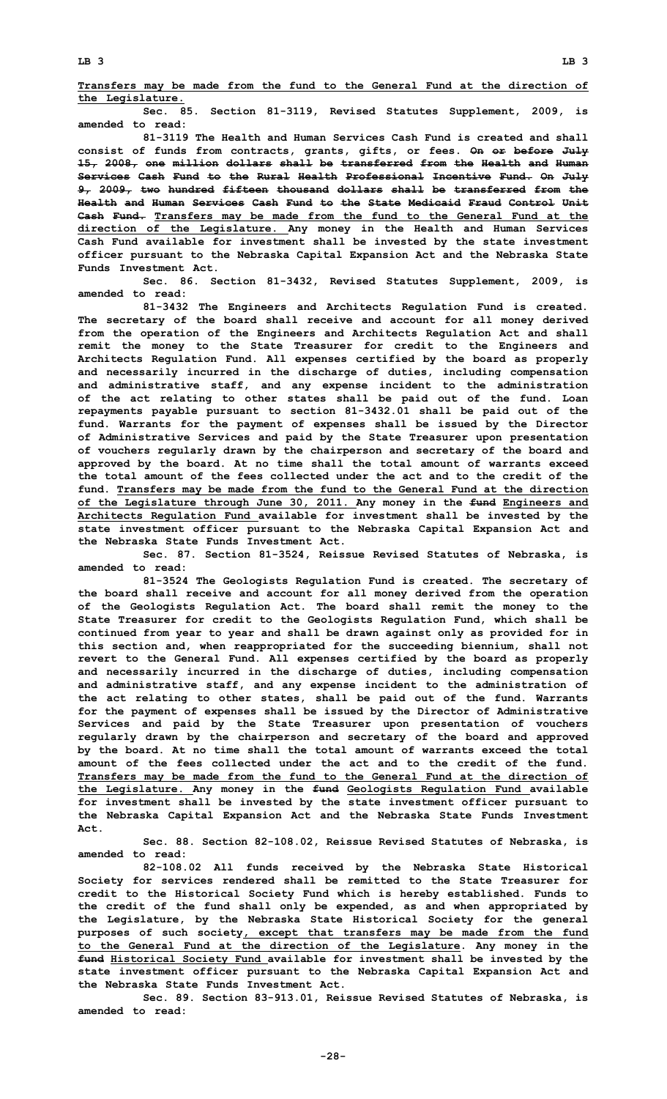**Transfers may be made from the fund to the General Fund at the direction of the Legislature.**

**Sec. 85. Section 81-3119, Revised Statutes Supplement, 2009, is amended to read:**

**81-3119 The Health and Human Services Cash Fund is created and shall consist of funds from contracts, grants, gifts, or fees. On or before July 15, 2008, one million dollars shall be transferred from the Health and Human Services Cash Fund to the Rural Health Professional Incentive Fund. On July 9, 2009, two hundred fifteen thousand dollars shall be transferred from the Health and Human Services Cash Fund to the State Medicaid Fraud Control Unit Cash Fund. Transfers may be made from the fund to the General Fund at the direction of the Legislature. Any money in the Health and Human Services Cash Fund available for investment shall be invested by the state investment officer pursuant to the Nebraska Capital Expansion Act and the Nebraska State Funds Investment Act.**

**Sec. 86. Section 81-3432, Revised Statutes Supplement, 2009, is amended to read:**

**81-3432 The Engineers and Architects Regulation Fund is created. The secretary of the board shall receive and account for all money derived from the operation of the Engineers and Architects Regulation Act and shall remit the money to the State Treasurer for credit to the Engineers and Architects Regulation Fund. All expenses certified by the board as properly and necessarily incurred in the discharge of duties, including compensation and administrative staff, and any expense incident to the administration of the act relating to other states shall be paid out of the fund. Loan repayments payable pursuant to section 81-3432.01 shall be paid out of the fund. Warrants for the payment of expenses shall be issued by the Director of Administrative Services and paid by the State Treasurer upon presentation of vouchers regularly drawn by the chairperson and secretary of the board and approved by the board. At no time shall the total amount of warrants exceed the total amount of the fees collected under the act and to the credit of the fund. Transfers may be made from the fund to the General Fund at the direction of the Legislature through June 30, 2011. Any money in the fund Engineers and Architects Regulation Fund available for investment shall be invested by the state investment officer pursuant to the Nebraska Capital Expansion Act and the Nebraska State Funds Investment Act.**

**Sec. 87. Section 81-3524, Reissue Revised Statutes of Nebraska, is amended to read:**

**81-3524 The Geologists Regulation Fund is created. The secretary of the board shall receive and account for all money derived from the operation of the Geologists Regulation Act. The board shall remit the money to the State Treasurer for credit to the Geologists Regulation Fund, which shall be continued from year to year and shall be drawn against only as provided for in this section and, when reappropriated for the succeeding biennium, shall not revert to the General Fund. All expenses certified by the board as properly and necessarily incurred in the discharge of duties, including compensation and administrative staff, and any expense incident to the administration of the act relating to other states, shall be paid out of the fund. Warrants for the payment of expenses shall be issued by the Director of Administrative Services and paid by the State Treasurer upon presentation of vouchers regularly drawn by the chairperson and secretary of the board and approved by the board. At no time shall the total amount of warrants exceed the total amount of the fees collected under the act and to the credit of the fund. Transfers may be made from the fund to the General Fund at the direction of the Legislature. Any money in the fund Geologists Regulation Fund available for investment shall be invested by the state investment officer pursuant to the Nebraska Capital Expansion Act and the Nebraska State Funds Investment Act.**

**Sec. 88. Section 82-108.02, Reissue Revised Statutes of Nebraska, is amended to read:**

**82-108.02 All funds received by the Nebraska State Historical Society for services rendered shall be remitted to the State Treasurer for credit to the Historical Society Fund which is hereby established. Funds to the credit of the fund shall only be expended, as and when appropriated by the Legislature, by the Nebraska State Historical Society for the general purposes of such society, except that transfers may be made from the fund to the General Fund at the direction of the Legislature. Any money in the fund Historical Society Fund available for investment shall be invested by the state investment officer pursuant to the Nebraska Capital Expansion Act and the Nebraska State Funds Investment Act.**

**Sec. 89. Section 83-913.01, Reissue Revised Statutes of Nebraska, is amended to read:**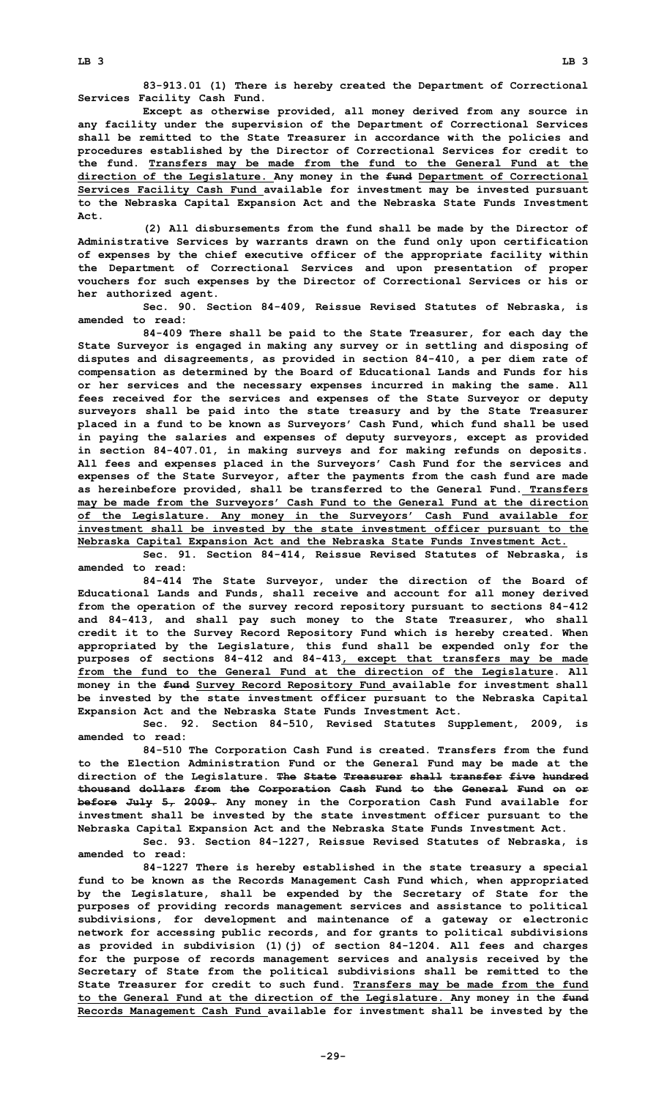**83-913.01 (1) There is hereby created the Department of Correctional Services Facility Cash Fund.**

**Except as otherwise provided, all money derived from any source in any facility under the supervision of the Department of Correctional Services shall be remitted to the State Treasurer in accordance with the policies and procedures established by the Director of Correctional Services for credit to the fund. Transfers may be made from the fund to the General Fund at the direction of the Legislature. Any money in the fund Department of Correctional Services Facility Cash Fund available for investment may be invested pursuant to the Nebraska Capital Expansion Act and the Nebraska State Funds Investment Act.**

**(2) All disbursements from the fund shall be made by the Director of Administrative Services by warrants drawn on the fund only upon certification of expenses by the chief executive officer of the appropriate facility within the Department of Correctional Services and upon presentation of proper vouchers for such expenses by the Director of Correctional Services or his or her authorized agent.**

**Sec. 90. Section 84-409, Reissue Revised Statutes of Nebraska, is amended to read:**

**84-409 There shall be paid to the State Treasurer, for each day the State Surveyor is engaged in making any survey or in settling and disposing of disputes and disagreements, as provided in section 84-410, <sup>a</sup> per diem rate of compensation as determined by the Board of Educational Lands and Funds for his or her services and the necessary expenses incurred in making the same. All fees received for the services and expenses of the State Surveyor or deputy surveyors shall be paid into the state treasury and by the State Treasurer placed in <sup>a</sup> fund to be known as Surveyors' Cash Fund, which fund shall be used in paying the salaries and expenses of deputy surveyors, except as provided in section 84-407.01, in making surveys and for making refunds on deposits. All fees and expenses placed in the Surveyors' Cash Fund for the services and expenses of the State Surveyor, after the payments from the cash fund are made as hereinbefore provided, shall be transferred to the General Fund. Transfers may be made from the Surveyors' Cash Fund to the General Fund at the direction of the Legislature. Any money in the Surveyors' Cash Fund available for investment shall be invested by the state investment officer pursuant to the Nebraska Capital Expansion Act and the Nebraska State Funds Investment Act.**

**Sec. 91. Section 84-414, Reissue Revised Statutes of Nebraska, is amended to read:**

**84-414 The State Surveyor, under the direction of the Board of Educational Lands and Funds, shall receive and account for all money derived from the operation of the survey record repository pursuant to sections 84-412 and 84-413, and shall pay such money to the State Treasurer, who shall credit it to the Survey Record Repository Fund which is hereby created. When appropriated by the Legislature, this fund shall be expended only for the purposes of sections 84-412 and 84-413, except that transfers may be made from the fund to the General Fund at the direction of the Legislature. All money in the fund Survey Record Repository Fund available for investment shall be invested by the state investment officer pursuant to the Nebraska Capital Expansion Act and the Nebraska State Funds Investment Act.**

**Sec. 92. Section 84-510, Revised Statutes Supplement, 2009, is amended to read:**

**84-510 The Corporation Cash Fund is created. Transfers from the fund to the Election Administration Fund or the General Fund may be made at the direction of the Legislature. The State Treasurer shall transfer five hundred thousand dollars from the Corporation Cash Fund to the General Fund on or before July 5, 2009. Any money in the Corporation Cash Fund available for investment shall be invested by the state investment officer pursuant to the Nebraska Capital Expansion Act and the Nebraska State Funds Investment Act.**

**Sec. 93. Section 84-1227, Reissue Revised Statutes of Nebraska, is amended to read:**

**84-1227 There is hereby established in the state treasury <sup>a</sup> special fund to be known as the Records Management Cash Fund which, when appropriated by the Legislature, shall be expended by the Secretary of State for the purposes of providing records management services and assistance to political subdivisions, for development and maintenance of <sup>a</sup> gateway or electronic network for accessing public records, and for grants to political subdivisions as provided in subdivision (1)(j) of section 84-1204. All fees and charges for the purpose of records management services and analysis received by the Secretary of State from the political subdivisions shall be remitted to the State Treasurer for credit to such fund. Transfers may be made from the fund to the General Fund at the direction of the Legislature. Any money in the fund Records Management Cash Fund available for investment shall be invested by the**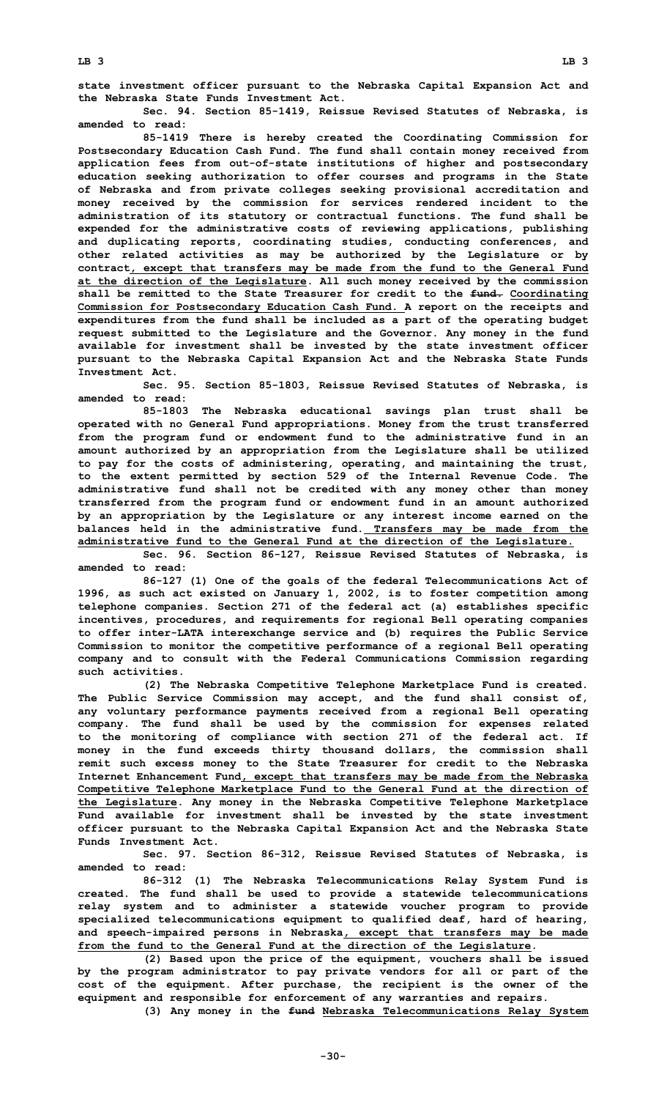**the Nebraska State Funds Investment Act.**

**Sec. 94. Section 85-1419, Reissue Revised Statutes of Nebraska, is amended to read:**

**85-1419 There is hereby created the Coordinating Commission for Postsecondary Education Cash Fund. The fund shall contain money received from application fees from out-of-state institutions of higher and postsecondary education seeking authorization to offer courses and programs in the State of Nebraska and from private colleges seeking provisional accreditation and money received by the commission for services rendered incident to the administration of its statutory or contractual functions. The fund shall be expended for the administrative costs of reviewing applications, publishing and duplicating reports, coordinating studies, conducting conferences, and other related activities as may be authorized by the Legislature or by contract, except that transfers may be made from the fund to the General Fund at the direction of the Legislature. All such money received by the commission shall be remitted to the State Treasurer for credit to the fund. Coordinating Commission for Postsecondary Education Cash Fund. A report on the receipts and expenditures from the fund shall be included as <sup>a</sup> part of the operating budget request submitted to the Legislature and the Governor. Any money in the fund available for investment shall be invested by the state investment officer pursuant to the Nebraska Capital Expansion Act and the Nebraska State Funds Investment Act.**

**Sec. 95. Section 85-1803, Reissue Revised Statutes of Nebraska, is amended to read:**

**85-1803 The Nebraska educational savings plan trust shall be operated with no General Fund appropriations. Money from the trust transferred from the program fund or endowment fund to the administrative fund in an amount authorized by an appropriation from the Legislature shall be utilized to pay for the costs of administering, operating, and maintaining the trust, to the extent permitted by section 529 of the Internal Revenue Code. The administrative fund shall not be credited with any money other than money transferred from the program fund or endowment fund in an amount authorized by an appropriation by the Legislature or any interest income earned on the balances held in the administrative fund. Transfers may be made from the administrative fund to the General Fund at the direction of the Legislature.**

**Sec. 96. Section 86-127, Reissue Revised Statutes of Nebraska, is amended to read:**

**86-127 (1) One of the goals of the federal Telecommunications Act of 1996, as such act existed on January 1, 2002, is to foster competition among telephone companies. Section 271 of the federal act (a) establishes specific incentives, procedures, and requirements for regional Bell operating companies to offer inter-LATA interexchange service and (b) requires the Public Service Commission to monitor the competitive performance of <sup>a</sup> regional Bell operating company and to consult with the Federal Communications Commission regarding such activities.**

**(2) The Nebraska Competitive Telephone Marketplace Fund is created. The Public Service Commission may accept, and the fund shall consist of, any voluntary performance payments received from <sup>a</sup> regional Bell operating company. The fund shall be used by the commission for expenses related to the monitoring of compliance with section 271 of the federal act. If money in the fund exceeds thirty thousand dollars, the commission shall remit such excess money to the State Treasurer for credit to the Nebraska Internet Enhancement Fund, except that transfers may be made from the Nebraska Competitive Telephone Marketplace Fund to the General Fund at the direction of the Legislature. Any money in the Nebraska Competitive Telephone Marketplace Fund available for investment shall be invested by the state investment officer pursuant to the Nebraska Capital Expansion Act and the Nebraska State Funds Investment Act.**

**Sec. 97. Section 86-312, Reissue Revised Statutes of Nebraska, is amended to read:**

**86-312 (1) The Nebraska Telecommunications Relay System Fund is created. The fund shall be used to provide <sup>a</sup> statewide telecommunications relay system and to administer <sup>a</sup> statewide voucher program to provide specialized telecommunications equipment to qualified deaf, hard of hearing, and speech-impaired persons in Nebraska, except that transfers may be made from the fund to the General Fund at the direction of the Legislature.**

**(2) Based upon the price of the equipment, vouchers shall be issued by the program administrator to pay private vendors for all or part of the cost of the equipment. After purchase, the recipient is the owner of the equipment and responsible for enforcement of any warranties and repairs.**

**(3) Any money in the fund Nebraska Telecommunications Relay System**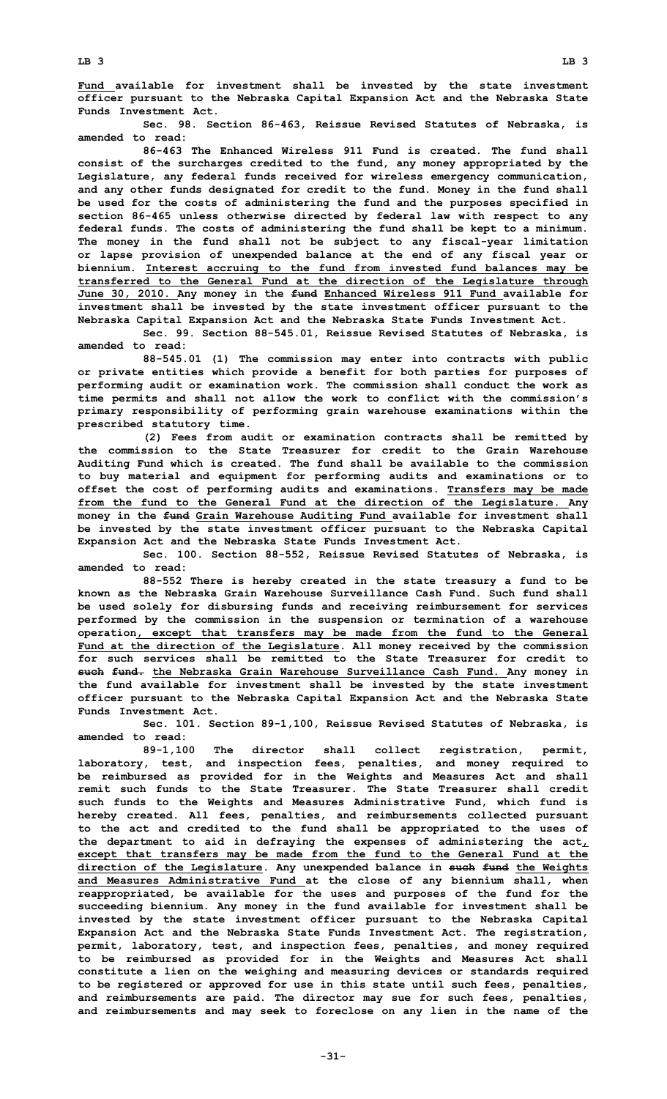**Fund available for investment shall be invested by the state investment officer pursuant to the Nebraska Capital Expansion Act and the Nebraska State Funds Investment Act.**

**Sec. 98. Section 86-463, Reissue Revised Statutes of Nebraska, is amended to read:**

**86-463 The Enhanced Wireless 911 Fund is created. The fund shall consist of the surcharges credited to the fund, any money appropriated by the Legislature, any federal funds received for wireless emergency communication, and any other funds designated for credit to the fund. Money in the fund shall be used for the costs of administering the fund and the purposes specified in section 86-465 unless otherwise directed by federal law with respect to any federal funds. The costs of administering the fund shall be kept to <sup>a</sup> minimum. The money in the fund shall not be subject to any fiscal-year limitation or lapse provision of unexpended balance at the end of any fiscal year or biennium. Interest accruing to the fund from invested fund balances may be transferred to the General Fund at the direction of the Legislature through June 30, 2010. Any money in the fund Enhanced Wireless 911 Fund available for investment shall be invested by the state investment officer pursuant to the Nebraska Capital Expansion Act and the Nebraska State Funds Investment Act.**

**Sec. 99. Section 88-545.01, Reissue Revised Statutes of Nebraska, is amended to read:**

**88-545.01 (1) The commission may enter into contracts with public or private entities which provide <sup>a</sup> benefit for both parties for purposes of performing audit or examination work. The commission shall conduct the work as time permits and shall not allow the work to conflict with the commission's primary responsibility of performing grain warehouse examinations within the prescribed statutory time.**

**(2) Fees from audit or examination contracts shall be remitted by the commission to the State Treasurer for credit to the Grain Warehouse Auditing Fund which is created. The fund shall be available to the commission to buy material and equipment for performing audits and examinations or to offset the cost of performing audits and examinations. Transfers may be made from the fund to the General Fund at the direction of the Legislature. Any money in the fund Grain Warehouse Auditing Fund available for investment shall be invested by the state investment officer pursuant to the Nebraska Capital Expansion Act and the Nebraska State Funds Investment Act.**

**Sec. 100. Section 88-552, Reissue Revised Statutes of Nebraska, is amended to read:**

**88-552 There is hereby created in the state treasury <sup>a</sup> fund to be known as the Nebraska Grain Warehouse Surveillance Cash Fund. Such fund shall be used solely for disbursing funds and receiving reimbursement for services performed by the commission in the suspension or termination of <sup>a</sup> warehouse operation, except that transfers may be made from the fund to the General Fund at the direction of the Legislature. All money received by the commission for such services shall be remitted to the State Treasurer for credit to such fund. the Nebraska Grain Warehouse Surveillance Cash Fund. Any money in the fund available for investment shall be invested by the state investment officer pursuant to the Nebraska Capital Expansion Act and the Nebraska State Funds Investment Act.**

**Sec. 101. Section 89-1,100, Reissue Revised Statutes of Nebraska, is amended to read:**

**89-1,100 The director shall collect registration, permit, laboratory, test, and inspection fees, penalties, and money required to be reimbursed as provided for in the Weights and Measures Act and shall remit such funds to the State Treasurer. The State Treasurer shall credit such funds to the Weights and Measures Administrative Fund, which fund is hereby created. All fees, penalties, and reimbursements collected pursuant to the act and credited to the fund shall be appropriated to the uses of the department to aid in defraying the expenses of administering the act, except that transfers may be made from the fund to the General Fund at the direction of the Legislature. Any unexpended balance in such fund the Weights and Measures Administrative Fund at the close of any biennium shall, when reappropriated, be available for the uses and purposes of the fund for the succeeding biennium. Any money in the fund available for investment shall be invested by the state investment officer pursuant to the Nebraska Capital Expansion Act and the Nebraska State Funds Investment Act. The registration, permit, laboratory, test, and inspection fees, penalties, and money required to be reimbursed as provided for in the Weights and Measures Act shall constitute <sup>a</sup> lien on the weighing and measuring devices or standards required to be registered or approved for use in this state until such fees, penalties, and reimbursements are paid. The director may sue for such fees, penalties, and reimbursements and may seek to foreclose on any lien in the name of the**